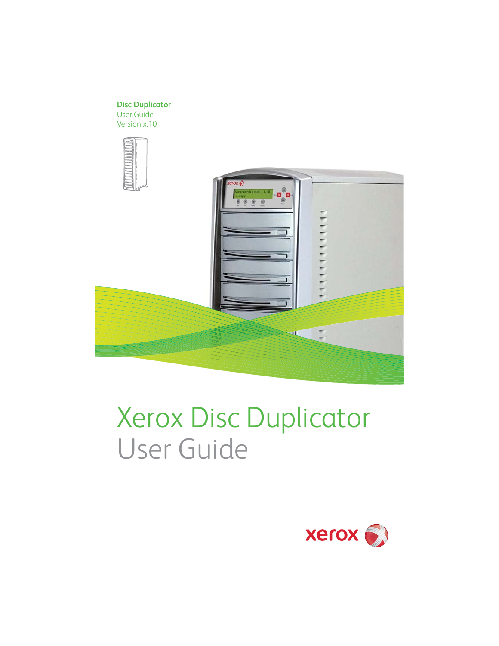## **Disc Duplicator**

User Guide Version x.10





# Xerox Disc Duplicator User Guide

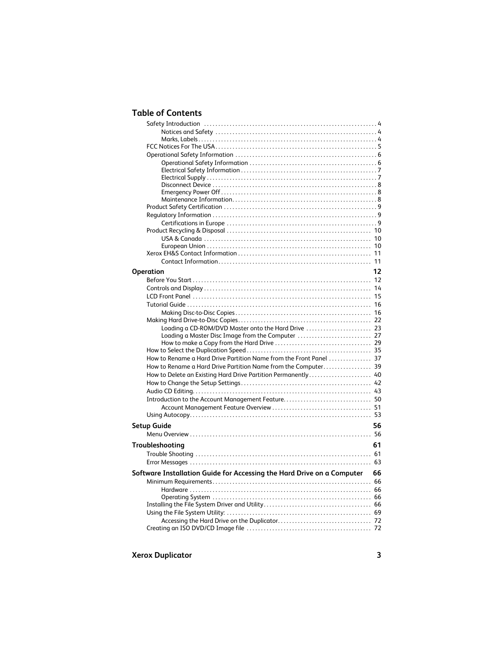# **Table of Contents**

| Operation                                                                 | 12 |
|---------------------------------------------------------------------------|----|
|                                                                           |    |
|                                                                           |    |
|                                                                           |    |
|                                                                           |    |
|                                                                           |    |
|                                                                           |    |
|                                                                           |    |
| Loading a Master Disc Image from the Computer  27                         |    |
|                                                                           |    |
|                                                                           |    |
| How to Rename a Hard Drive Partition Name from the Front Panel  37        |    |
| How to Rename a Hard Drive Partition Name from the Computer 39            |    |
| How to Delete an Existing Hard Drive Partition Permanently 40             |    |
|                                                                           |    |
|                                                                           |    |
|                                                                           |    |
|                                                                           |    |
|                                                                           |    |
| Setup Guide                                                               | 56 |
|                                                                           |    |
|                                                                           |    |
| Troubleshooting                                                           | 61 |
|                                                                           |    |
|                                                                           |    |
| Software Installation Guide for Accessing the Hard Drive on a Computer 66 |    |
|                                                                           |    |
|                                                                           |    |
|                                                                           |    |
|                                                                           |    |
|                                                                           |    |
|                                                                           |    |
|                                                                           |    |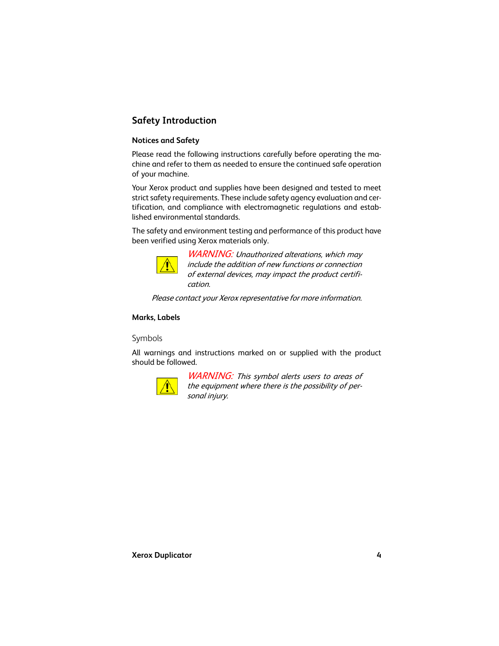# <span id="page-3-0"></span>**Safety Introduction**

# <span id="page-3-1"></span>**Notices and Safety**

Please read the following instructions carefully before operating the machine and refer to them as needed to ensure the continued safe operation of your machine.

Your Xerox product and supplies have been designed and tested to meet strict safety requirements. These include safety agency evaluation and certification, and compliance with electromagnetic regulations and established environmental standards.

[The safety and environment testing and performance of this product have](http://www.eiae.org/) been verified using Xerox materials only.



WARNING: Unauthorized alterations, which may include the addition of new functions or connection of external devices, may impact the product certification.

Please contact your Xerox representative for more information.

## <span id="page-3-2"></span>**Marks, Labels**

Symbols

All warnings and instructions marked on or supplied with the product should be followed.



WARNING: This symbol alerts users to areas of the equipment where there is the possibility of personal injury.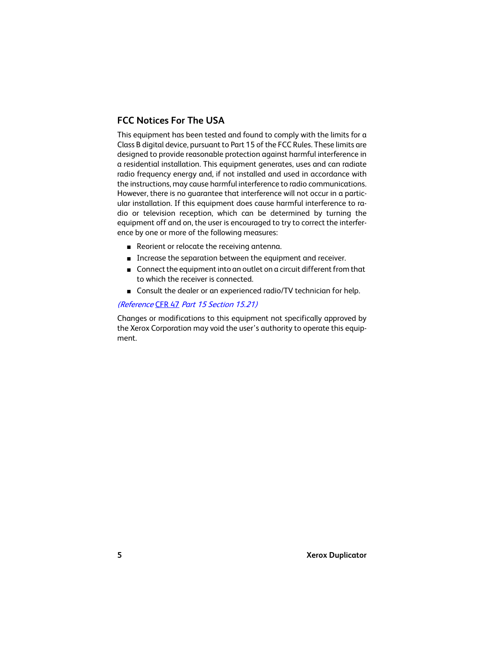# <span id="page-4-0"></span>**FCC Notices For The USA**

This equipment has been tested and found to comply with the limits for a Class B digital device, pursuant to Part 15 of the FCC Rules. These limits are designed to provide reasonable protection against harmful interference in a residential installation. This equipment generates, uses and can radiate radio frequency energy and, if not installed and used in accordance with the instructions, may cause harmful interference to radio communications. However, there is no guarantee that interference will not occur in a particular installation. If this equipment does cause harmful interference to radio or television reception, which can be determined by turning the equipment off and on, the user is encouraged to try to correct the interference by one or more of the following measures:

- Reorient or relocate the receiving antenna.
- Increase the separation between the equipment and receiver.
- Connect the equipment into an outlet on a circuit different from that to which the receiver is connected.
- Consult the dealer or an experienced radio/TV technician for help.

#### (Reference [CFR 47](http://www.access.gpo.gov/cgi-bin/cfrassemble.cgi?title=199847) [Part 15 Section 15.21\)](http://www.xerox.com/about-xerox/environment/enus.html" \o "http://www.xerox.com/about-xerox/envi)

[Changes or modifications to this equipment not specifically approved by](http://www.xerox.com/about-xerox/environment/eneu.html" \o "http://www.xerox.com/about-xerox/environment/eneu.html) the Xerox Corporation may void the user's authority to operate this equip[ment.](http://www.xerox.com/about-xerox/environment/eneu.html" \o "http://www.xerox.com/about-xerox/environment/eneu.html)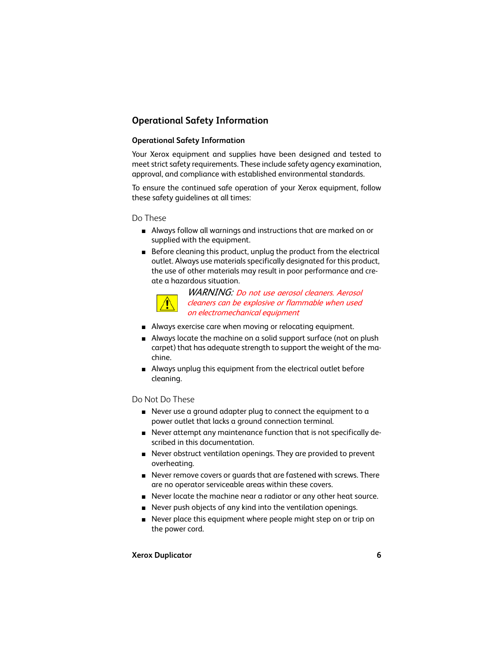# <span id="page-5-0"></span>**Operational Safety Information**

# <span id="page-5-1"></span>**Operational Safety Information**

Your Xerox equipment and supplies have been designed and tested to meet strict safety requirements. These include safety agency examination, approval, and compliance with established environmental standards.

To ensure the continued safe operation of your Xerox equipment, follow these safety guidelines at all times:

Do These

- Always follow all warnings and instructions that are marked on or supplied with the equipment.
- Before cleaning this product, unplug the product from the electrical outlet. Always use materials specifically designated for this product, the use of other materials may result in poor performance and create a hazardous situation.



WARNING: Do not use aerosol cleaners. Aerosol cleaners can be explosive or flammable when used on electromechanical equipment

- Always exercise care when moving or relocating equipment.
- Always locate the machine on a solid support surface (not on plush carpet) that has adequate strength to support the weight of the machine.
- Always unplug this equipment from the electrical outlet before cleaning.

Do Not Do These

- Never use a ground adapter plug to connect the equipment to a power outlet that lacks a ground connection terminal.
- Never attempt any maintenance function that is not specifically described in this documentation.
- Never obstruct ventilation openings. They are provided to prevent overheating.
- Never remove covers or guards that are fastened with screws. There are no operator serviceable areas within these covers.
- Never locate the machine near a radiator or any other heat source.
- Never push objects of any kind into the ventilation openings.
- Never place this equipment where people might step on or trip on the power cord.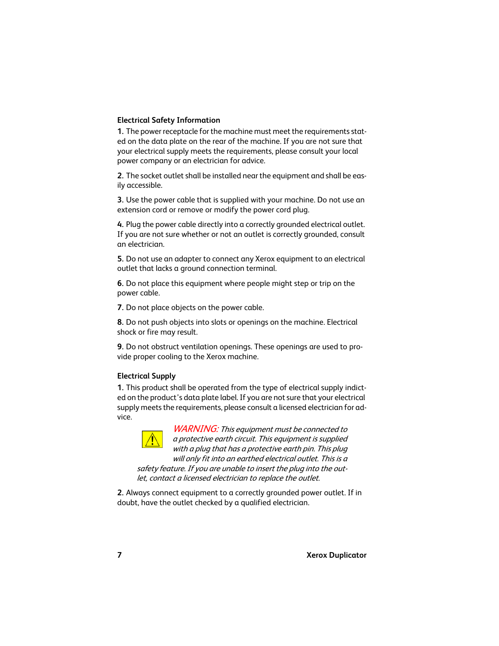# <span id="page-6-0"></span>**Electrical Safety Information**

**1.** The power receptacle for the machine must meet the requirements stated on the data plate on the rear of the machine. If you are not sure that your electrical supply meets the requirements, please consult your local power company or an electrician for advice.

**2.** The socket outlet shall be installed near the equipment and shall be easily accessible.

**3.** Use the power cable that is supplied with your machine. Do not use an extension cord or remove or modify the power cord plug.

**4.** Plug the power cable directly into a correctly grounded electrical outlet. If you are not sure whether or not an outlet is correctly grounded, consult an electrician.

**5.** Do not use an adapter to connect any Xerox equipment to an electrical outlet that lacks a ground connection terminal.

**6.** Do not place this equipment where people might step or trip on the power cable.

**7.** Do not place objects on the power cable.

**8.** Do not push objects into slots or openings on the machine. Electrical shock or fire may result.

**9.** Do not obstruct ventilation openings. These openings are used to provide proper cooling to the Xerox machine.

## <span id="page-6-1"></span>**Electrical Supply**

**1.** This product shall be operated from the type of electrical supply indicted on the product's data plate label. If you are not sure that your electrical supply meets the requirements, please consult a licensed electrician for advice.



WARNING: This equipment must be connected to a protective earth circuit. This equipment is supplied with a plug that has a protective earth pin. This plug will only fit into an earthed electrical outlet. This is a safety feature. If you are unable to insert the plug into the outlet, contact a licensed electrician to replace the outlet.

**2.** Always connect equipment to a correctly grounded power outlet. If in doubt, have the outlet checked by a qualified electrician.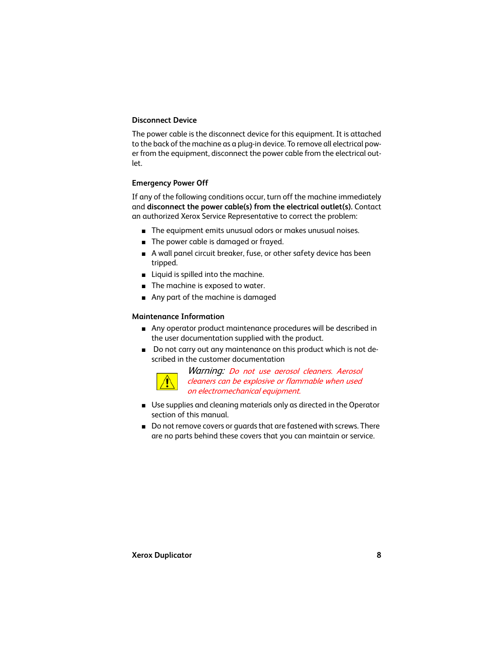## <span id="page-7-0"></span>**Disconnect Device**

The power cable is the disconnect device for this equipment. It is attached to the back of the machine as a plug-in device. To remove all electrical power from the equipment, disconnect the power cable from the electrical outlet.

## <span id="page-7-1"></span>**Emergency Power Off**

If any of the following conditions occur, turn off the machine immediately and **disconnect the power cable(s) from the electrical outlet(s).** Contact an authorized Xerox Service Representative to correct the problem:

- The equipment emits unusual odors or makes unusual noises.
- The power cable is damaged or frayed.
- A wall panel circuit breaker, fuse, or other safety device has been tripped.
- Liquid is spilled into the machine.
- The machine is exposed to water.
- Any part of the machine is damaged

#### <span id="page-7-2"></span>**Maintenance Information**

- Any operator product maintenance procedures will be described in the user documentation supplied with the product.
- Do not carry out any maintenance on this product which is not described in the customer documentation



Warning: Do not use aerosol cleaners. Aerosol cleaners can be explosive or flammable when used on electromechanical equipment.

- Use supplies and cleaning materials only as directed in the Operator section of this manual.
- Do not remove covers or quards that are fastened with screws. There are no parts behind these covers that you can maintain or service.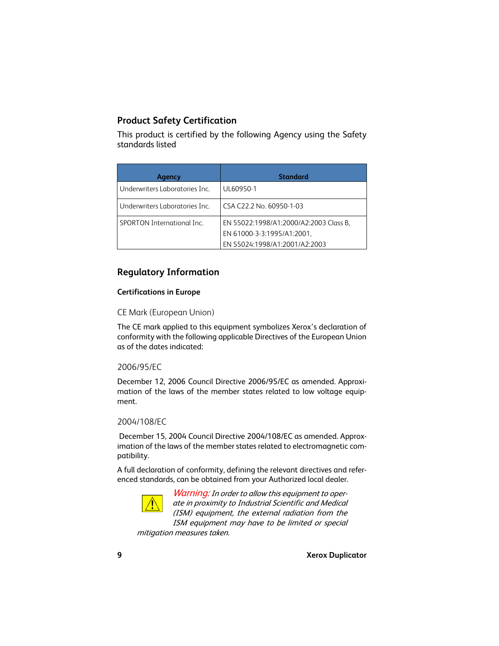# <span id="page-8-0"></span>**Product Safety Certification**

This product is certified by the following Agency using the Safety standards listed

| Agency                         | <b>Standard</b>                        |
|--------------------------------|----------------------------------------|
| Underwriters Laboratories Inc. | UL60950-1                              |
| Underwriters Laboratories Inc. | CSA C22.2 No. 60950-1-03               |
| SPORTON International Inc.     | EN 55022:1998/A1:2000/A2:2003 Class B, |
|                                | EN 61000-3-3:1995/A1:2001.             |
|                                | EN 55024:1998/A1:2001/A2:2003          |

# <span id="page-8-1"></span>**Regulatory Information**

## <span id="page-8-2"></span>**Certifications in Europe**

## CE Mark (European Union)

The CE mark applied to this equipment symbolizes Xerox's declaration of conformity with the following applicable Directives of the European Union as of the dates indicated:

## 2006/95/EC

December 12, 2006 Council Directive 2006/95/EC as amended. Approximation of the laws of the member states related to low voltage equipment.

## 2004/108/EC

 December 15, 2004 Council Directive 2004/108/EC as amended. Approximation of the laws of the member states related to electromagnetic compatibility.

A full declaration of conformity, defining the relevant directives and referenced standards, can be obtained from your Authorized local dealer.



**Warning:** In order to allow this equipment to operate in proximity to Industrial Scientific and Medical (ISM) equipment, the external radiation from the ISM equipment may have to be limited or special

mitigation measures taken.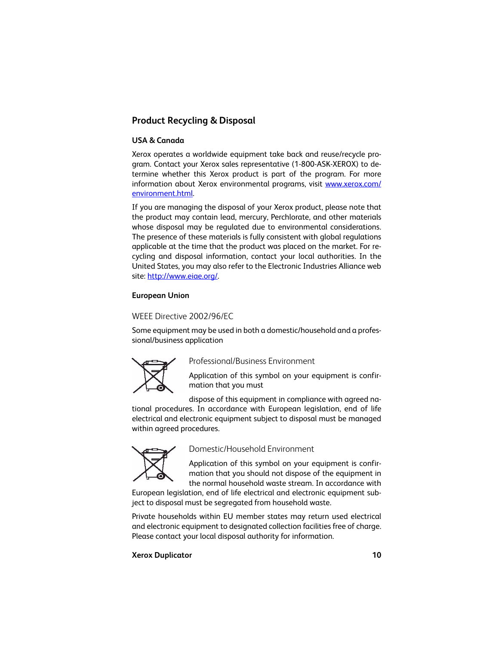# <span id="page-9-0"></span>**Product Recycling & Disposal**

## <span id="page-9-1"></span>**USA & Canada**

Xerox operates a worldwide equipment take back and reuse/recycle program. Contact your Xerox sales representative (1-800-ASK-XEROX) to determine whether this Xerox product is part of the program. For more information about Xerox environmental programs, visit www.xerox.com/ environment.html.

If you are managing the disposal of your Xerox product, please note that the product may contain lead, mercury, Perchlorate, and other materials whose disposal may be regulated due to environmental considerations. The presence of these materials is fully consistent with global regulations applicable at the time that the product was placed on the market. For recycling and disposal information, contact your local authorities. In the United States, you may also refer to the Electronic Industries Alliance web site: http://www.eiae.org/.

## <span id="page-9-2"></span>**European Union**

# WEEE Directive 2002/96/EC

Some equipment may be used in both a domestic/household and a professional/business application



Professional/Business Environment

Application of this symbol on your equipment is confirmation that you must

dispose of this equipment in compliance with agreed na-

tional procedures. In accordance with European legislation, end of life electrical and electronic equipment subject to disposal must be managed within agreed procedures.



Domestic/Household Environment

Application of this symbol on your equipment is confirmation that you should not dispose of the equipment in the normal household waste stream. In accordance with

European legislation, end of life electrical and electronic equipment subject to disposal must be segregated from household waste.

Private households within EU member states may return used electrical and electronic equipment to designated collection facilities free of charge. Please contact your local disposal authority for information.

#### **Xerox Duplicator 10**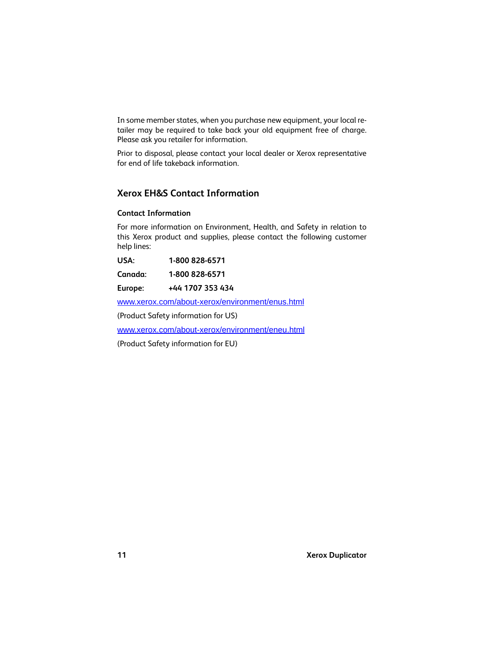In some member states, when you purchase new equipment, your local retailer may be required to take back your old equipment free of charge. Please ask you retailer for information.

Prior to disposal, please contact your local dealer or Xerox representative for end of life takeback information.

# <span id="page-10-0"></span>**Xerox EH&S Contact Information**

# <span id="page-10-1"></span>**Contact Information**

For more information on Environment, Health, and Safety in relation to this Xerox product and supplies, please contact the following customer help lines:

**USA: 1-800 828-6571**

**Canada: 1-800 828-6571**

**Europe: +44 1707 353 434**

www.xerox.com/about-xerox/environment/enus.html

(Product Safety information for US)

www.xerox.com/about-xerox/environment/eneu.html

(Product Safety information for EU)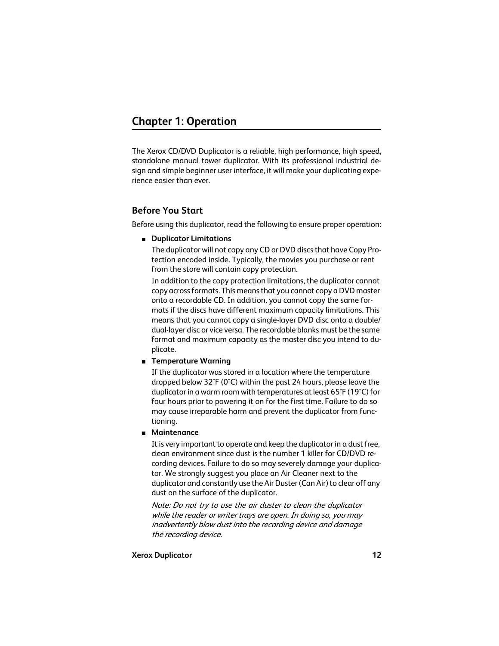<span id="page-11-0"></span>The Xerox CD/DVD Duplicator is a reliable, high performance, high speed, standalone manual tower duplicator. With its professional industrial design and simple beginner user interface, it will make your duplicating experience easier than ever.

# <span id="page-11-1"></span>**Before You Start**

Before using this duplicator, read the following to ensure proper operation:

■ **Duplicator Limitations**

The duplicator will not copy any CD or DVD discs that have Copy Protection encoded inside. Typically, the movies you purchase or rent from the store will contain copy protection.

In addition to the copy protection limitations, the duplicator cannot copy across formats. This means that you cannot copy a DVD master onto a recordable CD. In addition, you cannot copy the same formats if the discs have different maximum capacity limitations. This means that you cannot copy a single-layer DVD disc onto a double/ dual-layer disc or vice versa. The recordable blanks must be the same format and maximum capacity as the master disc you intend to duplicate.

#### ■ **Temperature Warning**

If the duplicator was stored in a location where the temperature dropped below 32°F (0°C) within the past 24 hours, please leave the duplicator in a warm room with temperatures at least 65°F (19°C) for four hours prior to powering it on for the first time. Failure to do so may cause irreparable harm and prevent the duplicator from functioning.

#### ■ **Maintenance**

It is very important to operate and keep the duplicator in a dust free, clean environment since dust is the number 1 killer for CD/DVD recording devices. Failure to do so may severely damage your duplicator. We strongly suggest you place an Air Cleaner next to the duplicator and constantly use the Air Duster (Can Air) to clear off any dust on the surface of the duplicator.

Note: Do not try to use the air duster to clean the duplicator while the reader or writer trays are open. In doing so, you may inadvertently blow dust into the recording device and damage the recording device.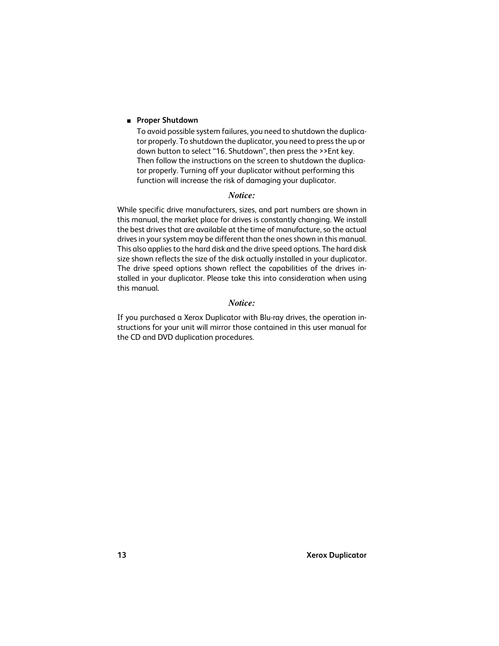#### ■ **Proper Shutdown**

To avoid possible system failures, you need to shutdown the duplicator properly. To shutdown the duplicator, you need to press the up or down button to select "16. Shutdown", then press the >>Ent key. Then follow the instructions on the screen to shutdown the duplicator properly. Turning off your duplicator without performing this function will increase the risk of damaging your duplicator.

#### *Notice:*

While specific drive manufacturers, sizes, and part numbers are shown in this manual, the market place for drives is constantly changing. We install the best drives that are available at the time of manufacture, so the actual drives in your system may be different than the ones shown in this manual. This also applies to the hard disk and the drive speed options. The hard disk size shown reflects the size of the disk actually installed in your duplicator. The drive speed options shown reflect the capabilities of the drives installed in your duplicator. Please take this into consideration when using this manual.

#### *Notice:*

If you purchased a Xerox Duplicator with Blu-ray drives, the operation instructions for your unit will mirror those contained in this user manual for the CD and DVD duplication procedures.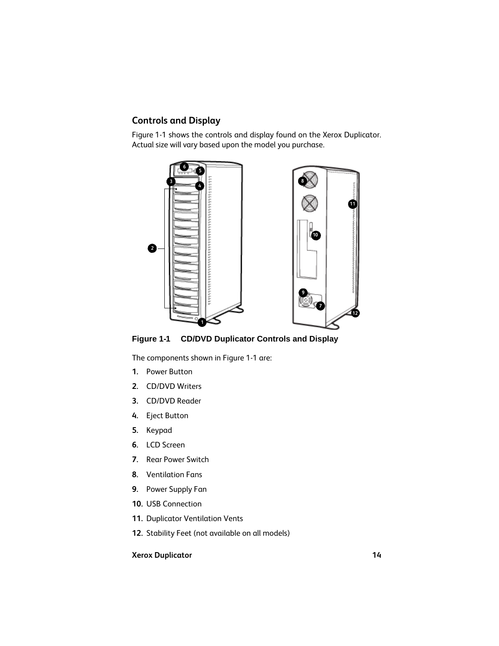# <span id="page-13-0"></span>**Controls and Display**

[Figure 1-1](#page-13-1) shows the controls and display found on the Xerox Duplicator. Actual size will vary based upon the model you purchase.



**Figure 1-1 CD/DVD Duplicator Controls and Display**

<span id="page-13-1"></span>The components shown in [Figure 1-1](#page-13-1) are:

- **1.** Power Button
- **2.** CD/DVD Writers
- **3.** CD/DVD Reader
- **4.** Eject Button
- **5.** Keypad
- **6.** LCD Screen
- **7.** Rear Power Switch
- **8.** Ventilation Fans
- **9.** Power Supply Fan
- **10.** USB Connection
- **11.** Duplicator Ventilation Vents
- **12.** Stability Feet (not available on all models)

## **Xerox Duplicator 14**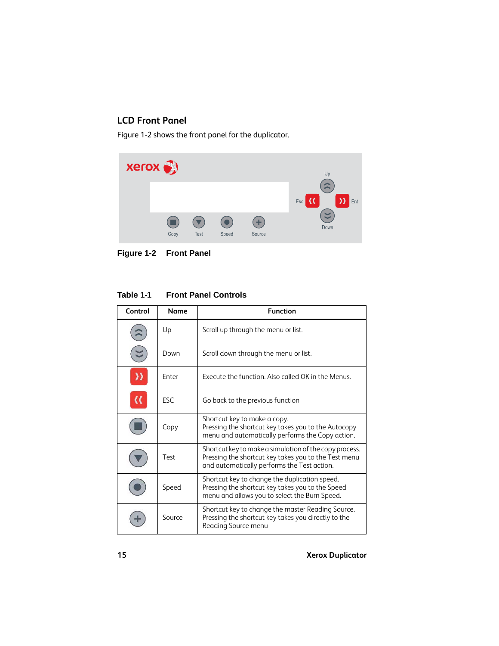# <span id="page-14-0"></span>**LCD Front Panel**

[Figure 1-2](#page-14-1) shows the front panel for the duplicator.



**Figure 1-2 Front Panel**

# <span id="page-14-1"></span>**Table 1-1 Front Panel Controls**

| Control | <b>Name</b>  | <b>Function</b>                                                                                                                                               |
|---------|--------------|---------------------------------------------------------------------------------------------------------------------------------------------------------------|
|         | Up           | Scroll up through the menu or list.                                                                                                                           |
|         | Down         | Scroll down through the menu or list.                                                                                                                         |
|         | <b>Fnter</b> | Execute the function. Also called OK in the Menus.                                                                                                            |
|         | <b>FSC</b>   | Go back to the previous function                                                                                                                              |
|         | Copy         | Shortcut key to make a copy.<br>Pressing the shortcut key takes you to the Autocopy<br>menu and automatically performs the Copy action.                       |
|         | Test         | Shortcut key to make a simulation of the copy process.<br>Pressing the shortcut key takes you to the Test menu<br>and automatically performs the Test action. |
|         | Speed        | Shortcut key to change the duplication speed.<br>Pressing the shortcut key takes you to the Speed<br>menu and allows you to select the Burn Speed.            |
|         | Source       | Shortcut key to change the master Reading Source.<br>Pressing the shortcut key takes you directly to the<br>Reading Source menu                               |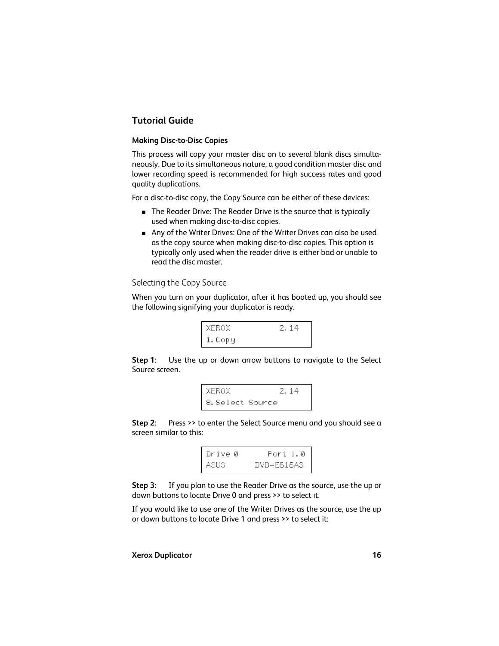# <span id="page-15-0"></span>**Tutorial Guide**

## <span id="page-15-1"></span>**Making Disc-to-Disc Copies**

This process will copy your master disc on to several blank discs simultaneously. Due to its simultaneous nature, a good condition master disc and lower recording speed is recommended for high success rates and good quality duplications.

For a disc-to-disc copy, the Copy Source can be either of these devices:

- The Reader Drive: The Reader Drive is the source that is typically used when making disc-to-disc copies.
- Any of the Writer Drives: One of the Writer Drives can also be used as the copy source when making disc-to-disc copies. This option is typically only used when the reader drive is either bad or unable to read the disc master.

Selecting the Copy Source

When you turn on your duplicator, after it has booted up, you should see the following signifying your duplicator is ready.



**Step 1:** Use the up or down arrow buttons to navigate to the Select Source screen.



**Step 2:** Press >> to enter the Select Source menu and you should see a screen similar to this:



**Step 3:** If you plan to use the Reader Drive as the source, use the up or down buttons to locate Drive 0 and press >> to select it.

If you would like to use one of the Writer Drives as the source, use the up or down buttons to locate Drive 1 and press >> to select it: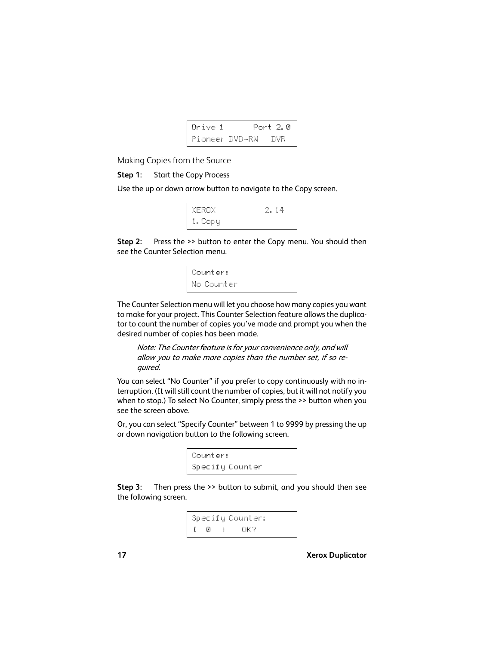

Making Copies from the Source

## **Step 1:** Start the Copy Process

Use the up or down arrow button to navigate to the Copy screen.

| XEROX   | 14 |  |
|---------|----|--|
| 1. Copy |    |  |

**Step 2:** Press the >> button to enter the Copy menu. You should then see the Counter Selection menu.



The Counter Selection menu will let you choose how many copies you want to make for your project. This Counter Selection feature allows the duplicator to count the number of copies you've made and prompt you when the desired number of copies has been made.

Note: The Counter feature is for your convenience only, and will allow you to make more copies than the number set, if so required.

You can select "No Counter" if you prefer to copy continuously with no interruption. (It will still count the number of copies, but it will not notify you when to stop.) To select No Counter, simply press the >> button when you see the screen above.

Or, you can select "Specify Counter" between 1 to 9999 by pressing the up or down navigation button to the following screen.



**Step 3:** Then press the >> button to submit, and you should then see the following screen.

```
Specify Counter:
   \emptyset ] OK?
```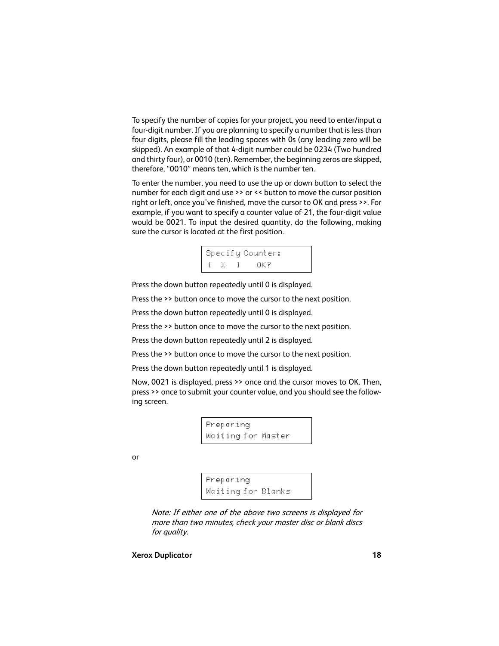To specify the number of copies for your project, you need to enter/input a four-digit number. If you are planning to specify a number that is less than four digits, please fill the leading spaces with 0s (any leading zero will be skipped). An example of that 4-digit number could be 0234 (Two hundred and thirty four), or 0010 (ten). Remember, the beginning zeros are skipped, therefore, "0010" means ten, which is the number ten.

To enter the number, you need to use the up or down button to select the number for each digit and use >> or << button to move the cursor position right or left, once you've finished, move the cursor to OK and press >>. For example, if you want to specify a counter value of 21, the four-digit value would be 0021. To input the desired quantity, do the following, making sure the cursor is located at the first position.



Press the down button repeatedly until 0 is displayed.

Press the >> button once to move the cursor to the next position.

Press the down button repeatedly until 0 is displayed.

Press the >> button once to move the cursor to the next position.

Press the down button repeatedly until 2 is displayed.

Press the >> button once to move the cursor to the next position.

Press the down button repeatedly until 1 is displayed.

Now, 0021 is displayed, press >> once and the cursor moves to OK. Then, press >> once to submit your counter value, and you should see the following screen.

> Preparing Waiting for Master

or

```
Preparing
Waiting for Blanks
```
Note: If either one of the above two screens is displayed for more than two minutes, check your master disc or blank discs for quality.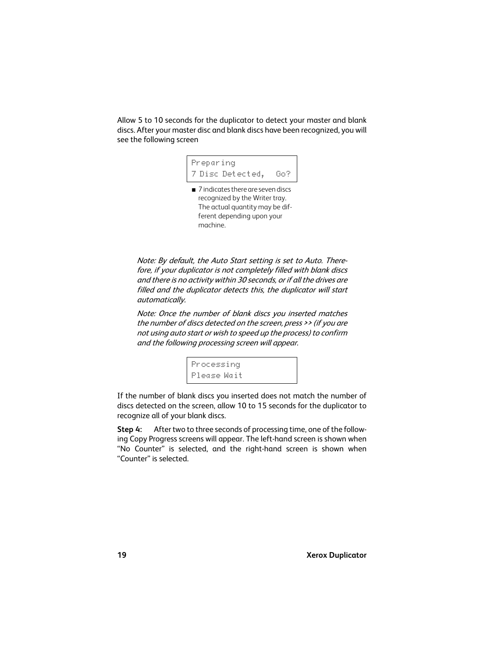Allow 5 to 10 seconds for the duplicator to detect your master and blank discs. After your master disc and blank discs have been recognized, you will see the following screen

Preparing 7 Disc Detected, Go?

■ 7 indicates there are seven discs recognized by the Writer tray. The actual quantity may be different depending upon your machine.

Note: By default, the Auto Start setting is set to Auto. Therefore, if your duplicator is not completely filled with blank discs and there is no activity within 30 seconds, or if all the drives are filled and the duplicator detects this, the duplicator will start automatically.

Note: Once the number of blank discs you inserted matches the number of discs detected on the screen, press >> (if you are not using auto start or wish to speed up the process) to confirm and the following processing screen will appear.

> Processing Please Wait

If the number of blank discs you inserted does not match the number of discs detected on the screen, allow 10 to 15 seconds for the duplicator to recognize all of your blank discs.

**Step 4:** After two to three seconds of processing time, one of the following Copy Progress screens will appear. The left-hand screen is shown when "No Counter" is selected, and the right-hand screen is shown when "Counter" is selected.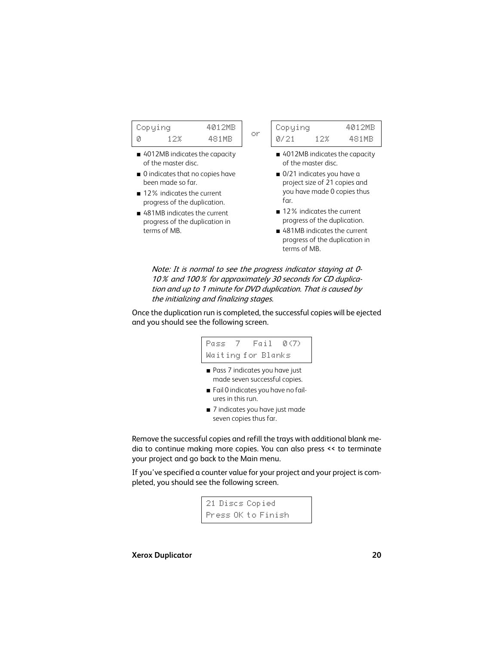| Copying |       | 4012MB |
|---------|-------|--------|
| Й       | 1 Z X | 481MB  |

- 4012MB indicates the capacity of the master disc.
- 0 indicates that no copies have been made so far.
- 12% indicates the current progress of the duplication.
- 481MB indicates the current progress of the duplication in terms of MB.

Copying 4012MB 0/21 12% 481MB

- 4012MB indicates the capacity of the master disc.
- 0/21 indicates you have a project size of 21 copies and you have made 0 copies thus far.
- 12% indicates the current progress of the duplication.
- 481MB indicates the current progress of the duplication in terms of MB.

Note: It is normal to see the progress indicator staying at 0- 10% and 100% for approximately 30 seconds for CD duplication and up to 1 minute for DVD duplication. That is caused by the initializing and finalizing stages.

or

Once the duplication run is completed, the successful copies will be ejected and you should see the following screen.

# Pass 7 Fail 0(7) Waiting for Blanks

- Pass 7 indicates you have just made seven successful copies.
- Fail 0 indicates you have no failures in this run.
- 7 indicates you have just made seven copies thus far.

Remove the successful copies and refill the trays with additional blank media to continue making more copies. You can also press << to terminate your project and go back to the Main menu.

If you've specified a counter value for your project and your project is completed, you should see the following screen.

> 21 Discs Copied Press OK to Finish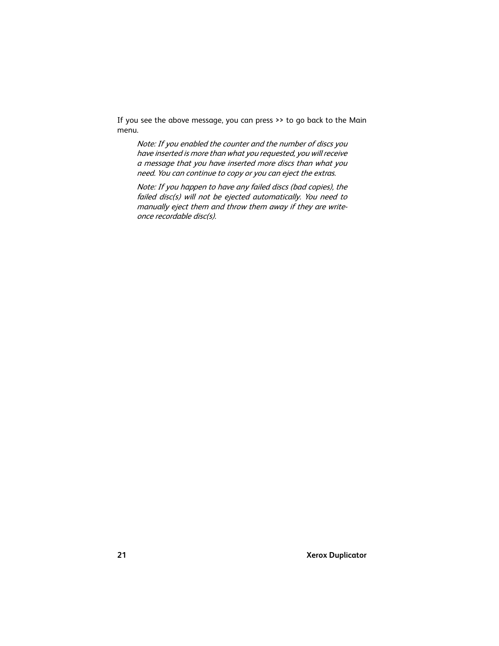If you see the above message, you can press >> to go back to the Main menu.

Note: If you enabled the counter and the number of discs you have inserted is more than what you requested, you will receive a message that you have inserted more discs than what you need. You can continue to copy or you can eject the extras.

Note: If you happen to have any failed discs (bad copies), the failed disc(s) will not be ejected automatically. You need to manually eject them and throw them away if they are writeonce recordable disc(s).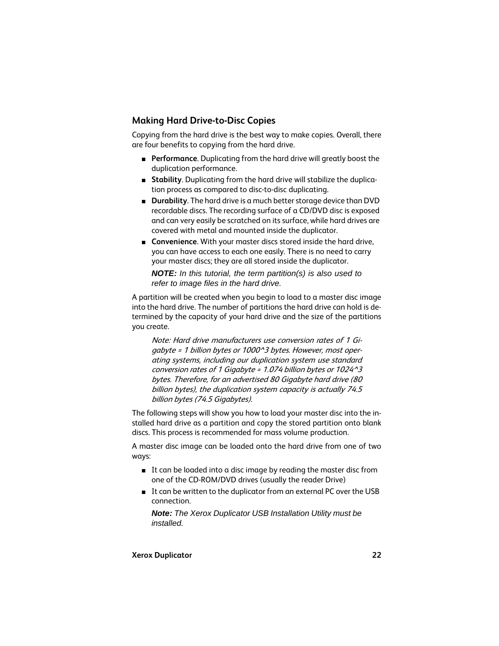# <span id="page-21-0"></span>**Making Hard Drive-to-Disc Copies**

Copying from the hard drive is the best way to make copies. Overall, there are four benefits to copying from the hard drive.

- **Performance**. Duplicating from the hard drive will greatly boost the duplication performance.
- **Stability**. Duplicating from the hard drive will stabilize the duplication process as compared to disc-to-disc duplicating.
- **Durability**. The hard drive is a much better storage device than DVD recordable discs. The recording surface of a CD/DVD disc is exposed and can very easily be scratched on its surface, while hard drives are covered with metal and mounted inside the duplicator.
- **Convenience**. With your master discs stored inside the hard drive, you can have access to each one easily. There is no need to carry your master discs; they are all stored inside the duplicator.

*NOTE: In this tutorial, the term partition(s) is also used to refer to image files in the hard drive.*

A partition will be created when you begin to load to a master disc image into the hard drive. The number of partitions the hard drive can hold is determined by the capacity of your hard drive and the size of the partitions you create.

Note: Hard drive manufacturers use conversion rates of 1 Gigabyte = 1 billion bytes or 1000^3 bytes. However, most operating systems, including our duplication system use standard conversion rates of 1 Gigabyte = 1.074 billion bytes or 1024^3 bytes. Therefore, for an advertised 80 Gigabyte hard drive (80 billion bytes), the duplication system capacity is actually 74.5 billion bytes (74.5 Gigabytes).

The following steps will show you how to load your master disc into the installed hard drive as a partition and copy the stored partition onto blank discs. This process is recommended for mass volume production.

A master disc image can be loaded onto the hard drive from one of two ways:

- It can be loaded into a disc image by reading the master disc from one of the CD-ROM/DVD drives (usually the reader Drive)
- It can be written to the duplicator from an external PC over the USB connection.

*Note: The Xerox Duplicator USB Installation Utility must be installed.*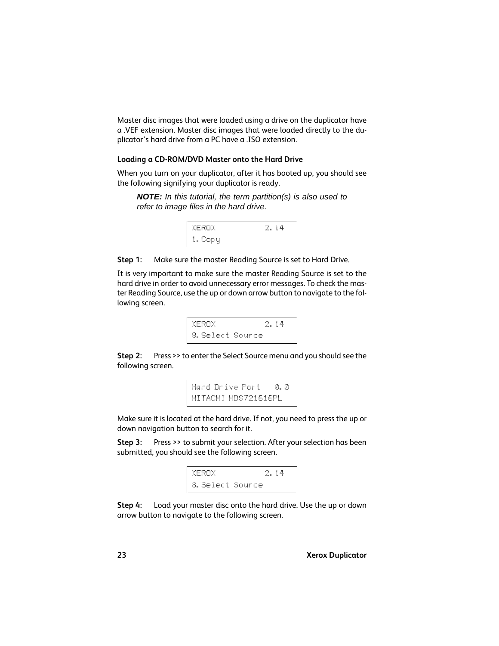Master disc images that were loaded using a drive on the duplicator have a .VEF extension. Master disc images that were loaded directly to the duplicator's hard drive from a PC have a .ISO extension.

## <span id="page-22-0"></span>**Loading a CD-ROM/DVD Master onto the Hard Drive**

When you turn on your duplicator, after it has booted up, you should see the following signifying your duplicator is ready.

*NOTE: In this tutorial, the term partition(s) is also used to refer to image files in the hard drive.*



**Step 1:** Make sure the master Reading Source is set to Hard Drive.

It is very important to make sure the master Reading Source is set to the hard drive in order to avoid unnecessary error messages. To check the master Reading Source, use the up or down arrow button to navigate to the following screen.

XEROX 2.14 8.Select Source

**Step 2:** Press >> to enter the Select Source menu and you should see the following screen.

```
Hard Drive Port 0.0
HITACHI HDS721616PL
```
Make sure it is located at the hard drive. If not, you need to press the up or down navigation button to search for it.

**Step 3:** Press >> to submit your selection. After your selection has been submitted, you should see the following screen.



**Step 4:** Load your master disc onto the hard drive. Use the up or down arrow button to navigate to the following screen.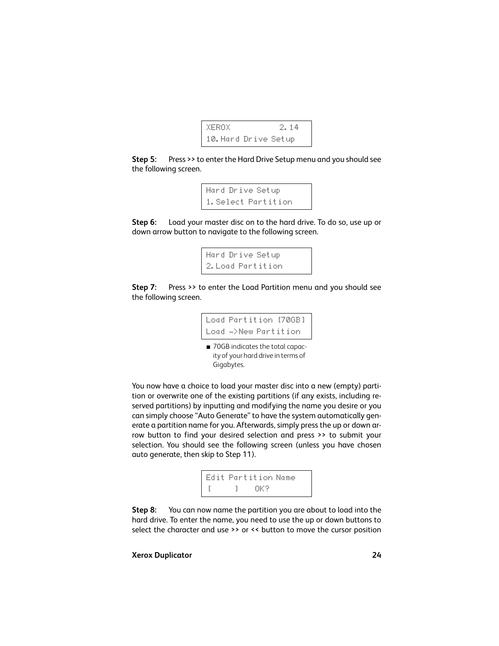

**Step 5:** Press >> to enter the Hard Drive Setup menu and you should see the following screen.

```
Hard Drive Setup
1.Select Partition
```
**Step 6:** Load your master disc on to the hard drive. To do so, use up or down arrow button to navigate to the following screen.

```
Hard Drive Setup
2.Load Partition
```
**Step 7:** Press >> to enter the Load Partition menu and you should see the following screen.

```
Load Partition [70GB]
Load ->New Partition
```
■ 70GB indicates the total capacity of your hard drive in terms of Gigabytes.

You now have a choice to load your master disc into a new (empty) partition or overwrite one of the existing partitions (if any exists, including reserved partitions) by inputting and modifying the name you desire or you can simply choose "Auto Generate" to have the system automatically generate a partition name for you. Afterwards, simply press the up or down arrow button to find your desired selection and press >> to submit your selection. You should see the following screen (unless you have chosen auto generate, then skip to [Step 11\)](#page-24-0).

```
Edit Partition Name
    \sim 1 \sim OK?
```
**Step 8:** You can now name the partition you are about to load into the hard drive. To enter the name, you need to use the up or down buttons to select the character and use >> or << button to move the cursor position

#### **Xerox Duplicator 24**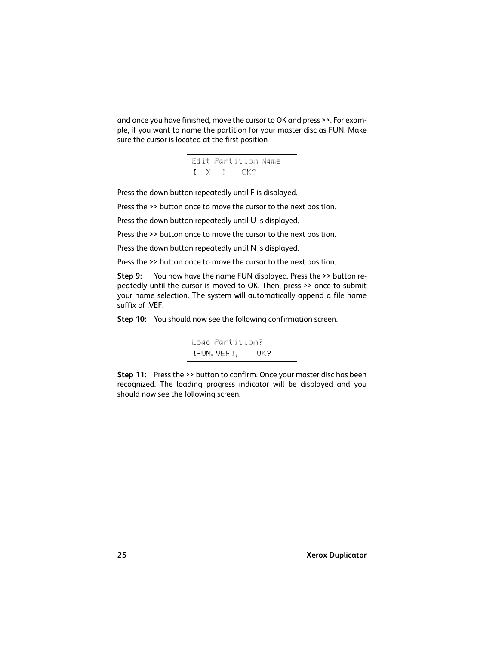and once you have finished, move the cursor to OK and press >>. For example, if you want to name the partition for your master disc as FUN. Make sure the cursor is located at the first position



Press the down button repeatedly until F is displayed.

Press the >> button once to move the cursor to the next position.

Press the down button repeatedly until U is displayed.

Press the >> button once to move the cursor to the next position.

Press the down button repeatedly until N is displayed.

Press the >> button once to move the cursor to the next position.

**Step 9:** You now have the name FUN displayed. Press the >> button repeatedly until the cursor is moved to OK. Then, press >> once to submit your name selection. The system will automatically append a file name suffix of .VEF.

**Step 10:** You should now see the following confirmation screen.

Load Partition? [FUN.VEF], OK?

<span id="page-24-0"></span>**Step 11:** Press the >> button to confirm. Once your master disc has been recognized. The loading progress indicator will be displayed and you should now see the following screen.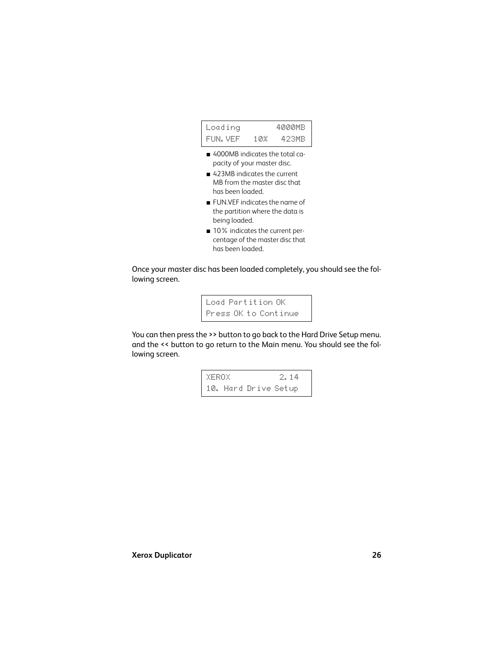

- 4000MB indicates the total capacity of your master disc.
- 423MB indicates the current MB from the master disc that has been loaded.
- FUN.VEF indicates the name of the partition where the data is being loaded.
- 10% indicates the current percentage of the master disc that has been loaded.

Once your master disc has been loaded completely, you should see the following screen.

> Load Partition OK Press OK to Continue

You can then press the >> button to go back to the Hard Drive Setup menu. and the << button to go return to the Main menu. You should see the following screen.

> $XEROX$  2.14 10. Hard Drive Setup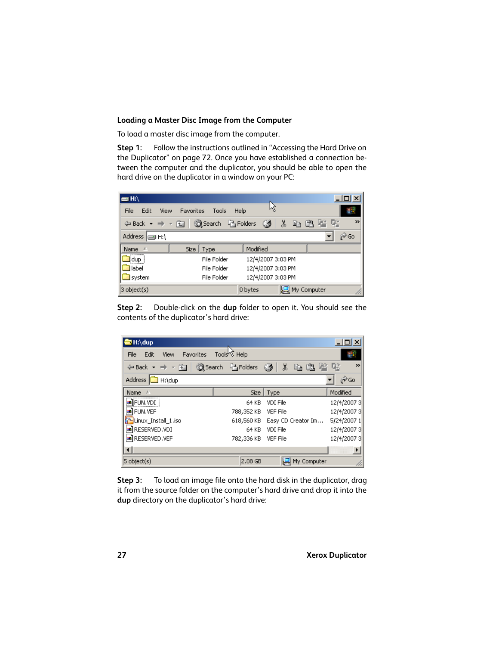### <span id="page-26-0"></span>**Loading a Master Disc Image from the Computer**

To load a master disc image from the computer.

**Step 1:** Follow the instructions outlined in ["Accessing the Hard Drive on](#page-71-2) [the Duplicator" on page 72.](#page-71-2) Once you have established a connection between the computer and the duplicator, you should be able to open the hard drive on the duplicator in a window on your PC:

| $=$ H:\               |           |                         |                   |             |                       |
|-----------------------|-----------|-------------------------|-------------------|-------------|-----------------------|
| File<br>Edit<br>View  | Favorites | Tools                   | Μ<br><b>Help</b>  |             |                       |
| ⇔Back ▼ ⇒ ▼ 宿         |           | Search <b>P</b> Folders | Ø                 | y,          | $\rightarrow$<br>电通信化 |
| Address <b>D</b> H:\  |           |                         |                   |             | ∂∕Go                  |
| Name<br>x             |           | Size   Type             | Modified          |             |                       |
| <u>∦</u> idup †       |           | File Folder             | 12/4/2007 3:03 PM |             |                       |
| <b>I</b> label        |           | File Folder             | 12/4/2007 3:03 PM |             |                       |
| system                |           | File Folder             | 12/4/2007 3:03 PM |             |                       |
| $3 \text{ object}(s)$ |           |                         | 0 bytes           | My Computer | n.                    |

**Step 2:** Double-click on the **dup** folder to open it. You should see the contents of the duplicator's hard drive:

| <b>o</b> H:\dup                   |                          |                    | $ \Box$ $\times$ $\Box$ |
|-----------------------------------|--------------------------|--------------------|-------------------------|
| Favorites<br>Edit<br>File<br>View | Tools <sup>ky</sup> Help |                    |                         |
| (中 Back ▼ ⇒ ▼ 国                   | Search <b>Parolders</b>  | X,<br>Ø<br>a A     | 喀喀<br>$\rightarrow$     |
| Address <b>a</b> H:\dup           |                          |                    | ∂Go                     |
| Name<br>- 1                       | Size                     | Type               | Modified                |
| laniFUN.VDI                       | 64 KB                    | VDI File           | 12/4/20073              |
| <b>a</b> FUN. VEF                 | 788,352 KB               | <b>VEF File</b>    | 12/4/20073              |
| Linux Install 1.iso               | 618,560 KB               | Easy CD Creator Im | 5/24/2007 1             |
| an RESERVED. VDI                  | 64 KB                    | VDI File           | 12/4/20073              |
| <b>a</b> RESERVED. VEF            | 782,336 KB               | <b>VEF File</b>    | 12/4/20073              |
|                                   |                          |                    |                         |
| $5$ object(s)                     | $2.08$ GB                | My Computer        |                         |

**Step 3:** To load an image file onto the hard disk in the duplicator, drag it from the source folder on the computer's hard drive and drop it into the **dup** directory on the duplicator's hard drive: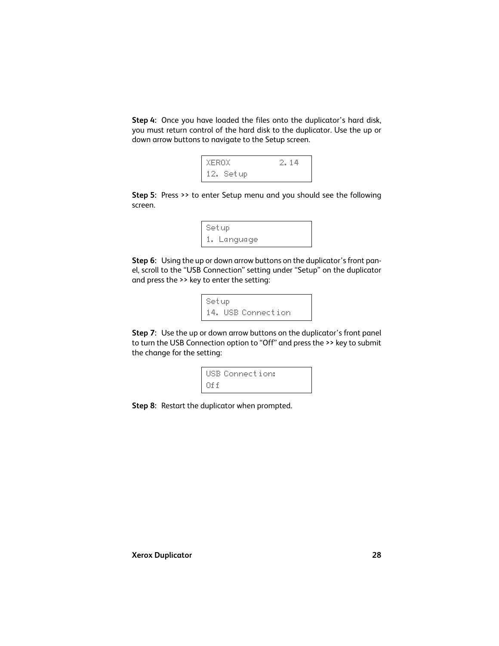**Step 4:** Once you have loaded the files onto the duplicator's hard disk, you must return control of the hard disk to the duplicator. Use the up or down arrow buttons to navigate to the Setup screen.



**Step 5:** Press >> to enter Setup menu and you should see the following screen.

```
Setup
1. Language
```
**Step 6:** Using the up or down arrow buttons on the duplicator's front panel, scroll to the "USB Connection" setting under "Setup" on the duplicator and press the >> key to enter the setting:

```
Setup
14. USB Connection
```
**Step 7:** Use the up or down arrow buttons on the duplicator's front panel to turn the USB Connection option to "Off" and press the >> key to submit the change for the setting:

```
USB Connection:
\mathbf{D}ff\mathbf{f}
```
**Step 8:** Restart the duplicator when prompted.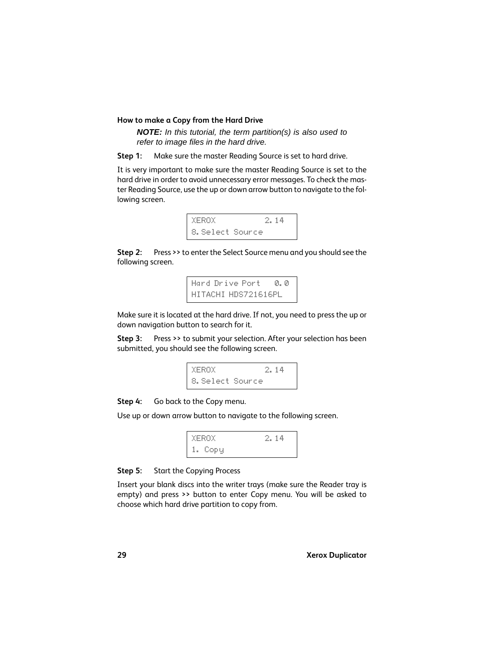#### <span id="page-28-0"></span>**How to make a Copy from the Hard Drive**

*NOTE: In this tutorial, the term partition(s) is also used to refer to image files in the hard drive.*

**Step 1:** Make sure the master Reading Source is set to hard drive.

It is very important to make sure the master Reading Source is set to the hard drive in order to avoid unnecessary error messages. To check the master Reading Source, use the up or down arrow button to navigate to the following screen.



**Step 2:** Press >> to enter the Select Source menu and you should see the following screen.

> Hard Drive Port 0.0 HITACHI HDS721616PL

Make sure it is located at the hard drive. If not, you need to press the up or down navigation button to search for it.

**Step 3:** Press >> to submit your selection. After your selection has been submitted, you should see the following screen.



**Step 4:** Go back to the Copy menu.

Use up or down arrow button to navigate to the following screen.



## **Step 5:** Start the Copying Process

Insert your blank discs into the writer trays (make sure the Reader tray is empty) and press >> button to enter Copy menu. You will be asked to choose which hard drive partition to copy from.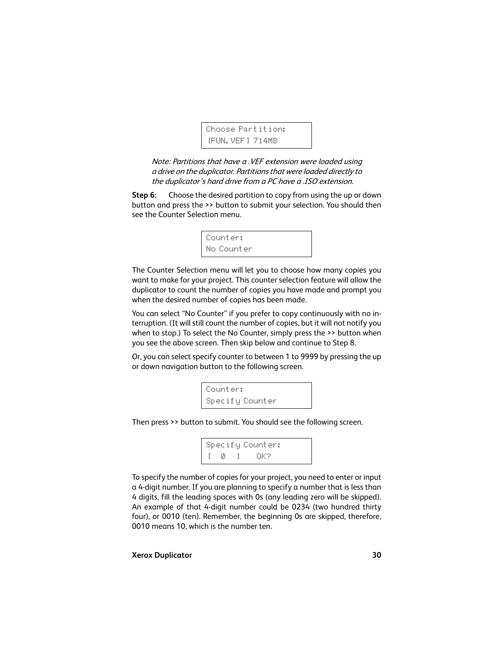```
Choose Partition:
[FUN.VEF] 714MB
```
Note: Partitions that have a .VEF extension were loaded using a drive on the duplicator. Partitions that were loaded directly to the duplicator's hard drive from a PC have a .ISO extension.

**Step 6:** Choose the desired partition to copy from using the up or down button and press the >> button to submit your selection. You should then see the Counter Selection menu.



The Counter Selection menu will let you to choose how many copies you want to make for your project. This counter selection feature will allow the duplicator to count the number of copies you have made and prompt you when the desired number of copies has been made.

You can select "No Counter" if you prefer to copy continuously with no interruption. (It will still count the number of copies, but it will not notify you when to stop.) To select the No Counter, simply press the >> button when you see the above screen. Then skip below and continue to [Step 8](#page-30-0).

Or, you can select specify counter to between 1 to 9999 by pressing the up or down navigation button to the following screen.

```
Counter:
Specify Counter
```
Then press >> button to submit. You should see the following screen.

Specify Counter: [ 0 ] OK?

To specify the number of copies for your project, you need to enter or input a 4-digit number. If you are planning to specify a number that is less than 4 digits, fill the leading spaces with 0s (any leading zero will be skipped). An example of that 4-digit number could be 0234 (two hundred thirty four), or 0010 (ten). Remember, the beginning 0s are skipped, therefore, 0010 means 10, which is the number ten.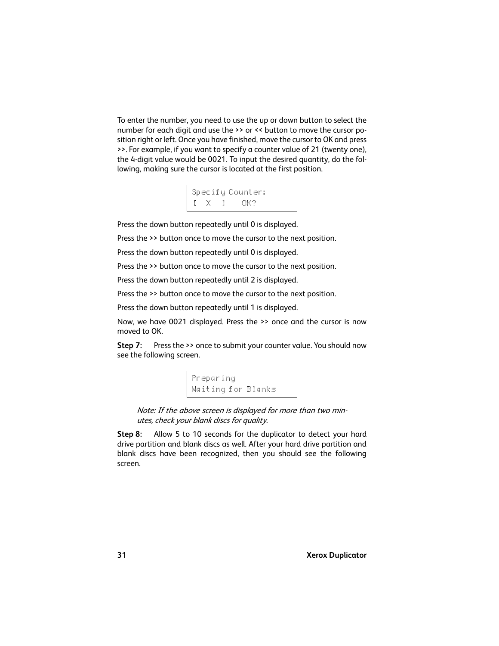To enter the number, you need to use the up or down button to select the number for each digit and use the >> or << button to move the cursor position right or left. Once you have finished, move the cursor to OK and press >>. For example, if you want to specify a counter value of 21 (twenty one), the 4-digit value would be 0021. To input the desired quantity, do the following, making sure the cursor is located at the first position.



Press the down button repeatedly until 0 is displayed.

Press the >> button once to move the cursor to the next position.

Press the down button repeatedly until 0 is displayed.

Press the >> button once to move the cursor to the next position.

Press the down button repeatedly until 2 is displayed.

Press the >> button once to move the cursor to the next position.

Press the down button repeatedly until 1 is displayed.

Now, we have 0021 displayed. Press the >> once and the cursor is now moved to OK.

**Step 7:** Press the >> once to submit your counter value. You should now see the following screen.

> Preparing Waiting for Blanks

Note: If the above screen is displayed for more than two minutes, check your blank discs for quality.

<span id="page-30-0"></span>**Step 8:** Allow 5 to 10 seconds for the duplicator to detect your hard drive partition and blank discs as well. After your hard drive partition and blank discs have been recognized, then you should see the following screen.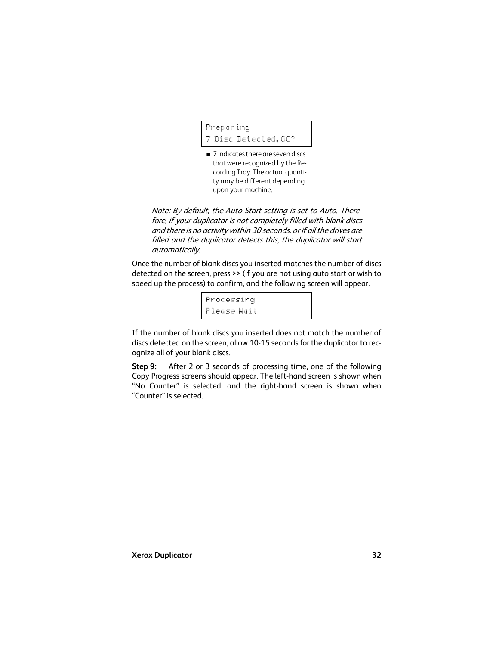```
Preparing
7 Disc Detected,GO?
```
■ 7 indicates there are seven discs that were recognized by the Recording Tray. The actual quantity may be different depending upon your machine.

Note: By default, the Auto Start setting is set to Auto. Therefore, if your duplicator is not completely filled with blank discs and there is no activity within 30 seconds, or if all the drives are filled and the duplicator detects this, the duplicator will start automatically.

Once the number of blank discs you inserted matches the number of discs detected on the screen, press >> (if you are not using auto start or wish to speed up the process) to confirm, and the following screen will appear.

> Processing Please Wait

If the number of blank discs you inserted does not match the number of discs detected on the screen, allow 10-15 seconds for the duplicator to recognize all of your blank discs.

**Step 9:** After 2 or 3 seconds of processing time, one of the following Copy Progress screens should appear. The left-hand screen is shown when "No Counter" is selected, and the right-hand screen is shown when "Counter" is selected.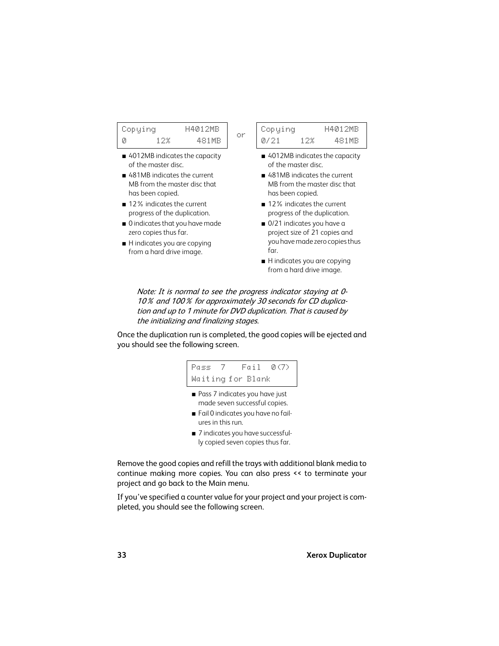| Copying |     | H4012MR |    |
|---------|-----|---------|----|
|         | 178 | 481 MR  | ЮF |

- 4012MB indicates the capacity of the master disc.
- 481MB indicates the current MB from the master disc that has been copied.
- 12% indicates the current progress of the duplication.
- 0 indicates that you have made zero copies thus far.
- H indicates you are copying from a hard drive image.

| Copying      |     | H4012MB |
|--------------|-----|---------|
| <i>0721.</i> | 12% | 481MR   |

- 4012MB indicates the capacity of the master disc.
- 481MB indicates the current MB from the master disc that has been copied.
- 12% indicates the current progress of the duplication.
- 0/21 indicates you have a project size of 21 copies and you have made zero copies thus far.
- H indicates you are copying from a hard drive image.

Note: It is normal to see the progress indicator staying at 0- 10% and 100% for approximately 30 seconds for CD duplication and up to 1 minute for DVD duplication. That is caused by the initializing and finalizing stages.

Once the duplication run is completed, the good copies will be ejected and you should see the following screen.

Pass 7 Fail 0(7) Waiting for Blank

- Pass 7 indicates you have just made seven successful copies.
- Fail 0 indicates you have no failures in this run.
- 7 indicates you have successfully copied seven copies thus far.

Remove the good copies and refill the trays with additional blank media to continue making more copies. You can also press << to terminate your project and go back to the Main menu.

If you've specified a counter value for your project and your project is completed, you should see the following screen.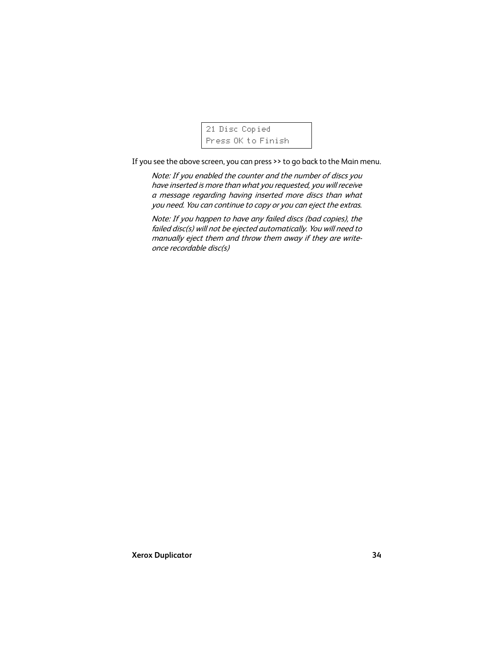21 Disc Copied Press OK to Finish

If you see the above screen, you can press >> to go back to the Main menu.

Note: If you enabled the counter and the number of discs you have inserted is more than what you requested, you will receive a message regarding having inserted more discs than what you need. You can continue to copy or you can eject the extras.

Note: If you happen to have any failed discs (bad copies), the failed disc(s) will not be ejected automatically. You will need to manually eject them and throw them away if they are writeonce recordable disc(s)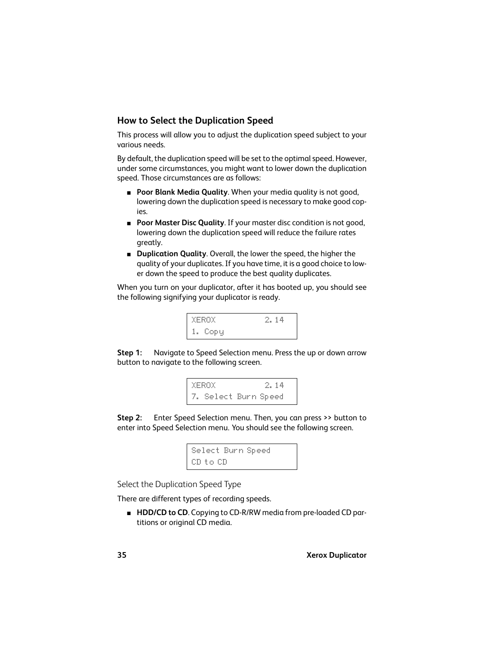# <span id="page-34-0"></span>**How to Select the Duplication Speed**

This process will allow you to adjust the duplication speed subject to your various needs.

By default, the duplication speed will be set to the optimal speed. However, under some circumstances, you might want to lower down the duplication speed. Those circumstances are as follows:

- **Poor Blank Media Quality**. When your media quality is not good, lowering down the duplication speed is necessary to make good copies.
- **Poor Master Disc Quality**. If your master disc condition is not good, lowering down the duplication speed will reduce the failure rates greatly.
- **Duplication Quality**. Overall, the lower the speed, the higher the quality of your duplicates. If you have time, it is a good choice to lower down the speed to produce the best quality duplicates.

When you turn on your duplicator, after it has booted up, you should see the following signifying your duplicator is ready.

| XEROX.  | -2. 14 |
|---------|--------|
| 1. Copy |        |

**Step 1:** Navigate to Speed Selection menu. Press the up or down arrow button to navigate to the following screen.



**Step 2:** Enter Speed Selection menu. Then, you can press >> button to enter into Speed Selection menu. You should see the following screen.

```
Select Burn Speed
CD to CD
```
Select the Duplication Speed Type

There are different types of recording speeds.

■ **HDD/CD to CD**. Copying to CD-R/RW media from pre-loaded CD partitions or original CD media.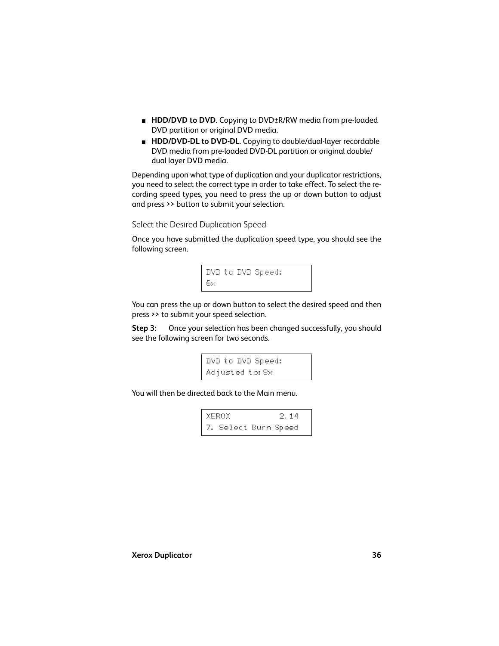- **HDD/DVD to DVD**. Copying to DVD±R/RW media from pre-loaded DVD partition or original DVD media.
- **HDD/DVD-DL to DVD-DL**. Copying to double/dual-layer recordable DVD media from pre-loaded DVD-DL partition or original double/ dual layer DVD media.

Depending upon what type of duplication and your duplicator restrictions, you need to select the correct type in order to take effect. To select the recording speed types, you need to press the up or down button to adjust and press >> button to submit your selection.

Select the Desired Duplication Speed

Once you have submitted the duplication speed type, you should see the following screen.



You can press the up or down button to select the desired speed and then press >> to submit your speed selection.

**Step 3:** Once your selection has been changed successfully, you should see the following screen for two seconds.

```
DVD to DVD Speed:
Adjusted to:8x
```
You will then be directed back to the Main menu.

XEROX 2.14 7. Select Burn Speed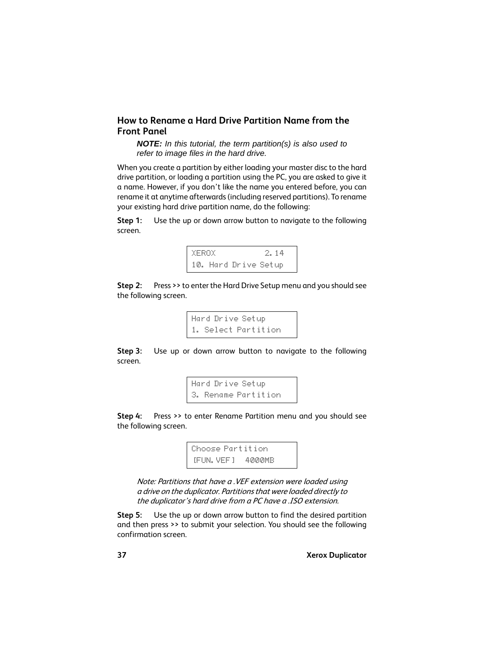#### <span id="page-36-0"></span>**How to Rename a Hard Drive Partition Name from the Front Panel**

*NOTE: In this tutorial, the term partition(s) is also used to refer to image files in the hard drive.*

When you create a partition by either loading your master disc to the hard drive partition, or loading a partition using the PC, you are asked to give it a name. However, if you don't like the name you entered before, you can rename it at anytime afterwards (including reserved partitions). To rename your existing hard drive partition name, do the following:

**Step 1:** Use the up or down arrow button to navigate to the following screen.



**Step 2:** Press >> to enter the Hard Drive Setup menu and you should see the following screen.

> Hard Drive Setup 1. Select Partition

**Step 3:** Use up or down arrow button to navigate to the following screen.

```
Hard Drive Setup
3. Rename Partition
```
**Step 4:** Press >> to enter Rename Partition menu and you should see the following screen.

> Choose Partition [FUN.VEF] 4000MB

Note: Partitions that have a .VEF extension were loaded using a drive on the duplicator. Partitions that were loaded directly to the duplicator's hard drive from a PC have a .ISO extension.

**Step 5:** Use the up or down arrow button to find the desired partition and then press >> to submit your selection. You should see the following confirmation screen.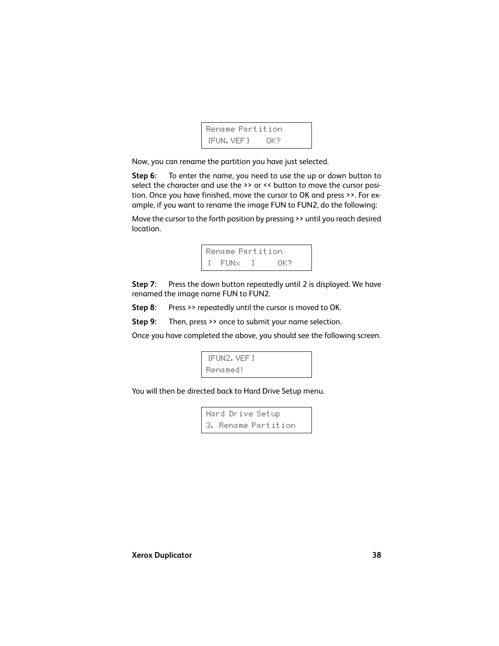```
Rename Partition
[FUN.VEF] OK?
```
Now, you can rename the partition you have just selected.

**Step 6:** To enter the name, you need to use the up or down button to select the character and use the >> or << button to move the cursor position. Once you have finished, move the cursor to OK and press >>. For example, if you want to rename the image FUN to FUN2, do the following:

Move the cursor to the forth position by pressing >> until you reach desired location.



**Step 7:** Press the down button repeatedly until 2 is displayed. We have renamed the image name FUN to FUN2.

**Step 8:** Press >> repeatedly until the cursor is moved to OK.

**Step 9:** Then, press >> once to submit your name selection.

Once you have completed the above, you should see the following screen.

```
[FUN2.VEF]
Renamed!
```
You will then be directed back to Hard Drive Setup menu.

Hard Drive Setup 3. Rename Partition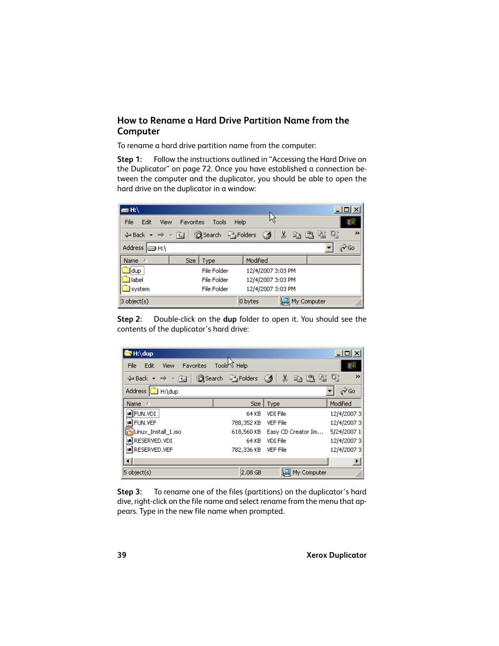#### **How to Rename a Hard Drive Partition Name from the Computer**

To rename a hard drive partition name from the computer:

**Step 1:** Follow the instructions outlined in ["Accessing the Hard Drive on](#page-71-0) [the Duplicator" on page 72.](#page-71-0) Once you have established a connection between the computer and the duplicator, you should be able to open the hard drive on the duplicator in a window:

| ⊟ H:\                                                |           |                         |                   |                    |      |      |
|------------------------------------------------------|-----------|-------------------------|-------------------|--------------------|------|------|
| <b>File</b><br>Edit<br>View                          | Favorites | Tools                   | Help              |                    |      |      |
| $\Leftrightarrow$ Back $\star \Rightarrow \star$ for |           | Search <b>P</b> Folders | Ø                 | ∦                  | 电通警化 | >>   |
| Address <b>Igg H:\</b>                               |           |                         |                   |                    |      | ∂∕Go |
| Name:<br>A                                           |           | Size   Type             | Modified          |                    |      |      |
| dup i                                                |           | File Folder             | 12/4/2007 3:03 PM |                    |      |      |
| <b>I</b> label                                       |           | File Folder             | 12/4/2007 3:03 PM |                    |      |      |
| system                                               |           | File Folder             | 12/4/2007 3:03 PM |                    |      |      |
| $3$ object(s)                                        |           |                         | 0 bytes           | $\Box$ My Computer |      | n.   |

**Step 2:** Double-click on the **dup** folder to open it. You should see the contents of the duplicator's hard drive:

| M:∖dup                                                                 |                          |                    | $\Box$ $\Box$ $\times$ |
|------------------------------------------------------------------------|--------------------------|--------------------|------------------------|
| Edit<br>Favorites<br>File<br><b>View</b>                               | Tools <sup>ky</sup> Help |                    |                        |
| $\Leftrightarrow$ Back $\rightarrow$ $\rightarrow$ $\approx$ $\approx$ | Search <b>P</b> Folders  | X,<br>Ø<br>电追信     | >><br>喀                |
| Address <sup>II</sup><br>H:\dup                                        |                          |                    | ∂Go                    |
| <b>Name</b><br>×                                                       | Size                     | Type               | Modified               |
| sa]FUN.VDI                                                             | 64 KB                    | VDI File           | 12/4/20073             |
| <b>an</b> FUN.VEF                                                      | 788,352 KB               | <b>VEF File</b>    | 12/4/2007 3            |
| Linux_Install_1.iso                                                    | 618,560 KB               | Easy CD Creator Im | 5/24/2007 1            |
| an RESERVED. VDI                                                       | 64 KB                    | VDI File           | 12/4/20073             |
| <b>an</b> RESERVED. VEF                                                | 782,336 KB VEF File      |                    | 12/4/2007 3            |
|                                                                        |                          |                    |                        |
| $5 \text{ object}(s)$                                                  | $2.08$ GB                | My Computer        |                        |

**Step 3:** To rename one of the files (partitions) on the duplicator's hard dive, right-click on the file name and select rename from the menu that appears. Type in the new file name when prompted.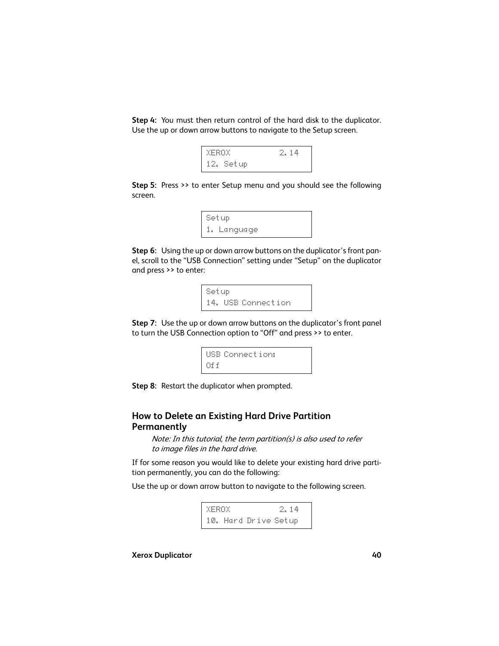**Step 4:** You must then return control of the hard disk to the duplicator. Use the up or down arrow buttons to navigate to the Setup screen.

```
XEROX 2.14
12. Setup
```
**Step 5:** Press >> to enter Setup menu and you should see the following screen.

```
Setup
1. Language
```
**Step 6:** Using the up or down arrow buttons on the duplicator's front panel, scroll to the "USB Connection" setting under "Setup" on the duplicator and press >> to enter:

```
Setup
14. USB Connection
```
**Step 7:** Use the up or down arrow buttons on the duplicator's front panel to turn the USB Connection option to "Off" and press >> to enter.

```
USB Connection:
Off
```
**Step 8:** Restart the duplicator when prompted.

#### **How to Delete an Existing Hard Drive Partition Permanently**

Note: In this tutorial, the term partition(s) is also used to refer to image files in the hard drive.

If for some reason you would like to delete your existing hard drive partition permanently, you can do the following:

Use the up or down arrow button to navigate to the following screen.

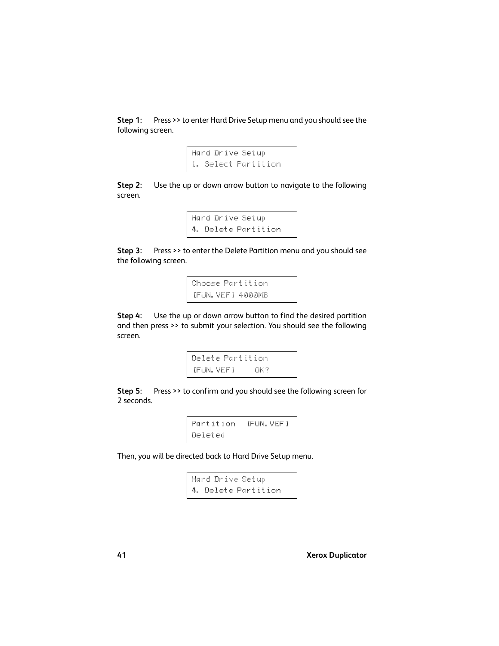**Step 1:** Press >> to enter Hard Drive Setup menu and you should see the following screen.

```
Hard Drive Setup
1. Select Partition
```
**Step 2:** Use the up or down arrow button to navigate to the following screen.

```
Hard Drive Setup
4. Delete Partition
```
**Step 3:** Press >> to enter the Delete Partition menu and you should see the following screen.

```
Choose Partition
[FUN.VEF] 4000MB
```
**Step 4:** Use the up or down arrow button to find the desired partition and then press >> to submit your selection. You should see the following screen.

> Delete Partition [FUN.VEF] OK?

**Step 5:** Press >> to confirm and you should see the following screen for 2 seconds.

```
Partition [FUN.VEF]
Deleted
```
Then, you will be directed back to Hard Drive Setup menu.

Hard Drive Setup 4. Delete Partition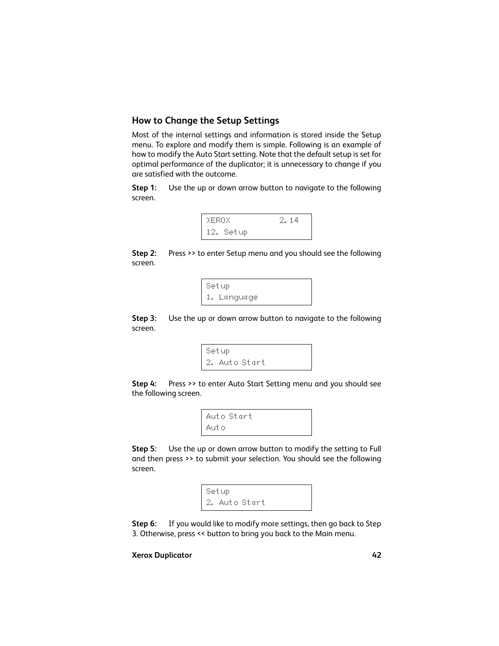## **How to Change the Setup Settings**

Most of the internal settings and information is stored inside the Setup menu. To explore and modify them is simple. Following is an example of how to modify the Auto Start setting. Note that the default setup is set for optimal performance of the duplicator; it is unnecessary to change if you are satisfied with the outcome.

**Step 1:** Use the up or down arrow button to navigate to the following screen.



**Step 2:** Press >> to enter Setup menu and you should see the following screen.

> Setup 1. Language

<span id="page-41-0"></span>**Step 3:** Use the up or down arrow button to navigate to the following screen.

```
Setup
2. Auto Start
```
**Step 4:** Press >> to enter Auto Start Setting menu and you should see the following screen.

```
Auto Start
Auto
```
**Step 5:** Use the up or down arrow button to modify the setting to Full and then press >> to submit your selection. You should see the following screen.

> Setup 2. Auto Start

**Step 6:** If you would like to modify more settings, then go back to [Step](#page-41-0) [3.](#page-41-0) Otherwise, press << button to bring you back to the Main menu.

#### **Xerox Duplicator 42**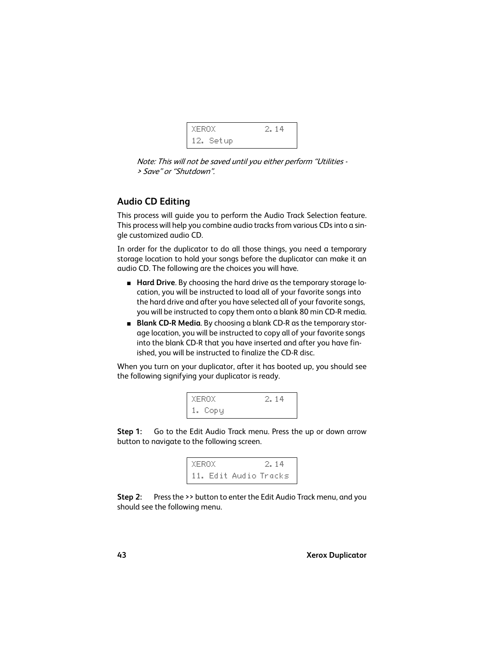

Note: This will not be saved until you either perform "Utilities - > Save" or "Shutdown".

# <span id="page-42-0"></span>**Audio CD Editing**

This process will guide you to perform the Audio Track Selection feature. This process will help you combine audio tracks from various CDs into a single customized audio CD.

In order for the duplicator to do all those things, you need a temporary storage location to hold your songs before the duplicator can make it an audio CD. The following are the choices you will have.

- **Hard Drive**. By choosing the hard drive as the temporary storage location, you will be instructed to load all of your favorite songs into the hard drive and after you have selected all of your favorite songs, you will be instructed to copy them onto a blank 80 min CD-R media.
- **Blank CD-R Media**. By choosing a blank CD-R as the temporary storage location, you will be instructed to copy all of your favorite songs into the blank CD-R that you have inserted and after you have finished, you will be instructed to finalize the CD-R disc.

When you turn on your duplicator, after it has booted up, you should see the following signifying your duplicator is ready.

| XEROX.  | 2.14 |
|---------|------|
| 1. Copy |      |

**Step 1:** Go to the Edit Audio Track menu. Press the up or down arrow button to navigate to the following screen.



**Step 2:** Press the >> button to enter the Edit Audio Track menu, and you should see the following menu.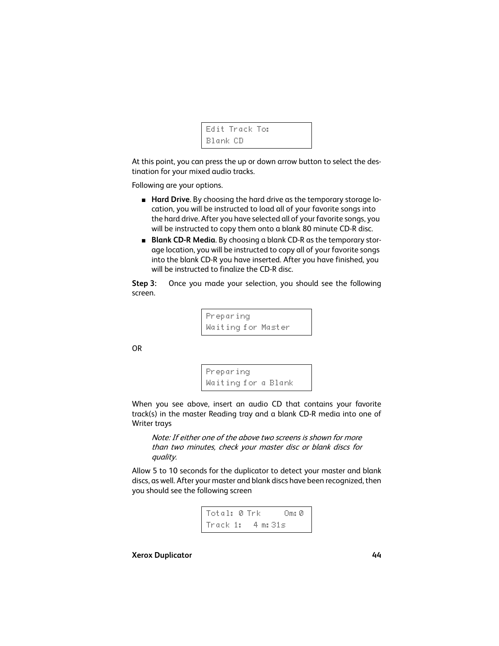```
Edit Track To:
Blank CD
```
At this point, you can press the up or down arrow button to select the destination for your mixed audio tracks.

Following are your options.

- **Hard Drive**. By choosing the hard drive as the temporary storage location, you will be instructed to load all of your favorite songs into the hard drive. After you have selected all of your favorite songs, you will be instructed to copy them onto a blank 80 minute CD-R disc.
- **Blank CD-R Media**. By choosing a blank CD-R as the temporary storage location, you will be instructed to copy all of your favorite songs into the blank CD-R you have inserted. After you have finished, you will be instructed to finalize the CD-R disc.

<span id="page-43-0"></span>**Step 3:** Once you made your selection, you should see the following screen.

> Preparing Waiting for Master

OR

```
Preparing
Waiting for a Blank
```
When you see above, insert an audio CD that contains your favorite track(s) in the master Reading tray and a blank CD-R media into one of Writer trays

Note: If either one of the above two screens is shown for more than two minutes, check your master disc or blank discs for quality.

Allow 5 to 10 seconds for the duplicator to detect your master and blank discs, as well. After your master and blank discs have been recognized, then you should see the following screen

Total: 0 Trk Om:0 Track 1: 4 m:31s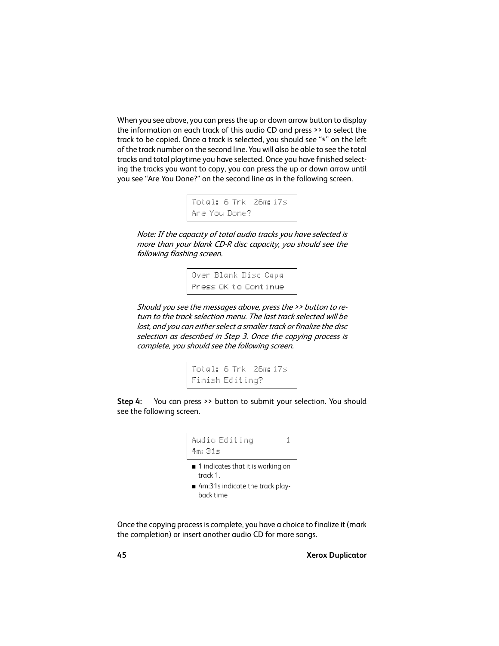When you see above, you can press the up or down arrow button to display the information on each track of this audio CD and press >> to select the track to be copied. Once a track is selected, you should see "\*" on the left of the track number on the second line. You will also be able to see the total tracks and total playtime you have selected. Once you have finished selecting the tracks you want to copy, you can press the up or down arrow until you see "Are You Done?" on the second line as in the following screen.

```
Total: 6 Trk 26m:17s
Are You Done?
```
Note: If the capacity of total audio tracks you have selected is more than your blank CD-R disc capacity, you should see the following flashing screen.

> Over Blank Disc Capa Press OK to Continue

Should you see the messages above, press the >> button to return to the track selection menu. The last track selected will be lost, and you can either select a smaller track or finalize the disc selection as described in Step 3. Once the copying process is complete, you should see the following screen.

> Total: 6 Trk 26m:17s Finish Editing?

**Step 4:** You can press >> button to submit your selection. You should see the following screen.

```
Audio Editing 1
4m:31s
```
- 1 indicates that it is working on track 1.
- 4m:31s indicate the track playback time

Once the copying process is complete, you have a choice to finalize it (mark the completion) or insert another audio CD for more songs.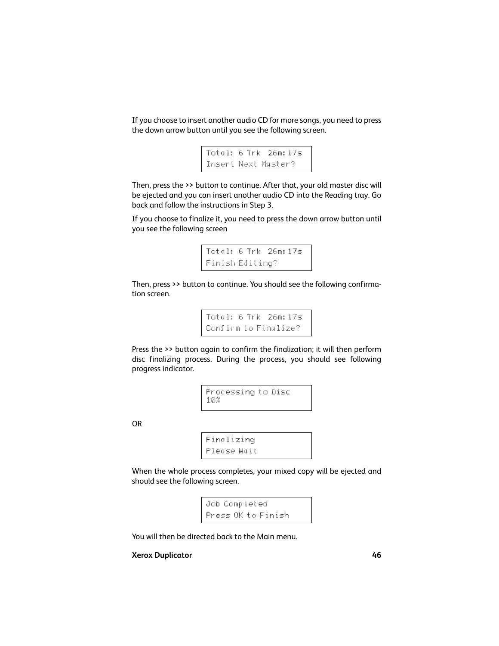If you choose to insert another audio CD for more songs, you need to press the down arrow button until you see the following screen.

```
Total: 6 Trk 26m:17s
Insert Next Master?
```
Then, press the >> button to continue. After that, your old master disc will be ejected and you can insert another audio CD into the Reading tray. Go back and follow the instructions in [Step 3](#page-43-0).

If you choose to finalize it, you need to press the down arrow button until you see the following screen

```
Total: 6 Trk 26m:17s
Finish Editing?
```
Then, press >> button to continue. You should see the following confirmation screen.

> Total: 6 Trk 26m:17s Confirm to Finalize?

Press the >> button again to confirm the finalization; it will then perform disc finalizing process. During the process, you should see following progress indicator.

> Processing to Disc 10%

OR

Finalizing Please Wait

When the whole process completes, your mixed copy will be ejected and should see the following screen.

> Job Completed Press OK to Finish

You will then be directed back to the Main menu.

#### **Xerox Duplicator 46**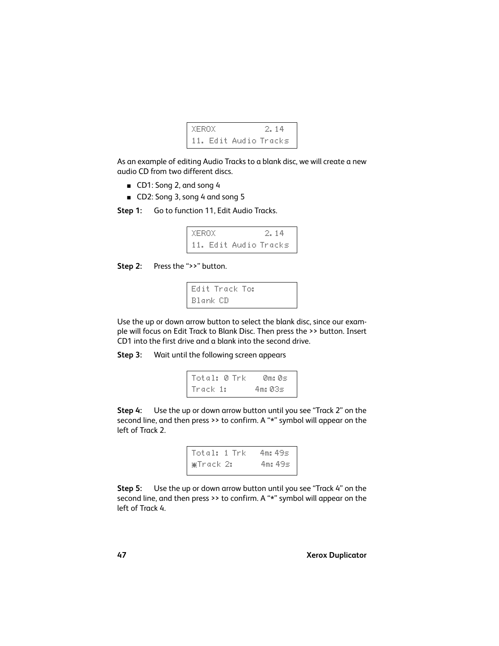

As an example of editing Audio Tracks to a blank disc, we will create a new audio CD from two different discs.

- CD1: Song 2, and song 4
- CD2: Song 3, song 4 and song 5
- **Step 1:** Go to function 11, Edit Audio Tracks.

XEROX 2.14 11. Edit Audio Tracks

**Step 2:** Press the ">>" button.

```
Edit Track To:
Blank CD
```
Use the up or down arrow button to select the blank disc, since our example will focus on Edit Track to Blank Disc. Then press the >> button. Insert CD1 into the first drive and a blank into the second drive.

**Step 3:** Wait until the following screen appears

Total: 0 Trk 0m:0s Track 1: 4m:03s

**Step 4:** Use the up or down arrow button until you see "Track 2" on the second line, and then press >> to confirm. A "\*" symbol will appear on the left of Track 2.



**Step 5:** Use the up or down arrow button until you see "Track 4" on the second line, and then press >> to confirm. A "\*" symbol will appear on the left of Track 4.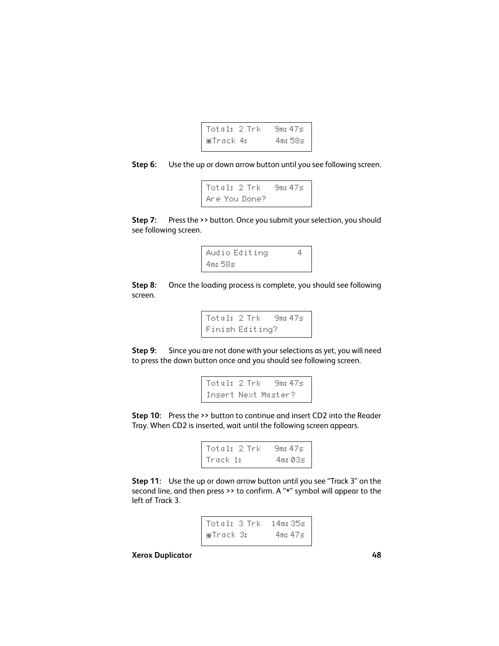

**Step 6:** Use the up or down arrow button until you see following screen.

Total: 2 Trk 9m:47s Are You Done?

**Step 7:** Press the >> button. Once you submit your selection, you should see following screen.



**Step 8:** Once the loading process is complete, you should see following screen.

> Total: 2 Trk 9m:47s Finish Editing?

**Step 9:** Since you are not done with your selections as yet, you will need to press the down button once and you should see following screen.

```
Total: 2 Trk 9m:47s
Insert Next Master?
```
**Step 10:** Press the >> button to continue and insert CD2 into the Reader Tray. When CD2 is inserted, wait until the following screen appears.

| Total: 2 Trk | .9m: 47≂ |
|--------------|----------|
| Track 1:     | 4m: 03s  |

**Step 11:** Use the up or down arrow button until you see "Track 3" on the second line, and then press >> to confirm. A "\*" symbol will appear to the left of Track 3.

| Total: 3 Trk - 14m: 35s |              |  |
|-------------------------|--------------|--|
| ≆Track 3:               | $4$ ms $47<$ |  |

**Xerox Duplicator 48**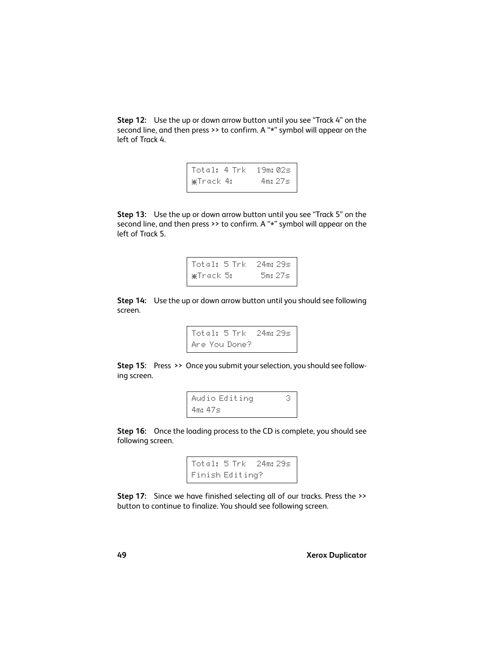**Step 12:** Use the up or down arrow button until you see "Track 4" on the second line, and then press >> to confirm. A "\*" symbol will appear on the left of Track 4.

```
Total: 4 Trk 19m:02s
*Track 4: 4m:27s
```
**Step 13:** Use the up or down arrow button until you see "Track 5" on the second line, and then press >> to confirm. A "\*" symbol will appear on the left of Track 5.

```
Total: 5 Trk 24m:29s
*Track 5: 5m:27s
```
**Step 14:** Use the up or down arrow button until you should see following screen.

```
Total: 5 Trk 24m:29s
Are You Done?
```
**Step 15:** Press >> Once you submit your selection, you should see following screen.

```
Audio Editing 3
4m:47s
```
**Step 16:** Once the loading process to the CD is complete, you should see following screen.

```
Total: 5 Trk 24m:29s
Finish Editing?
```
**Step 17:** Since we have finished selecting all of our tracks. Press the >> button to continue to finalize. You should see following screen.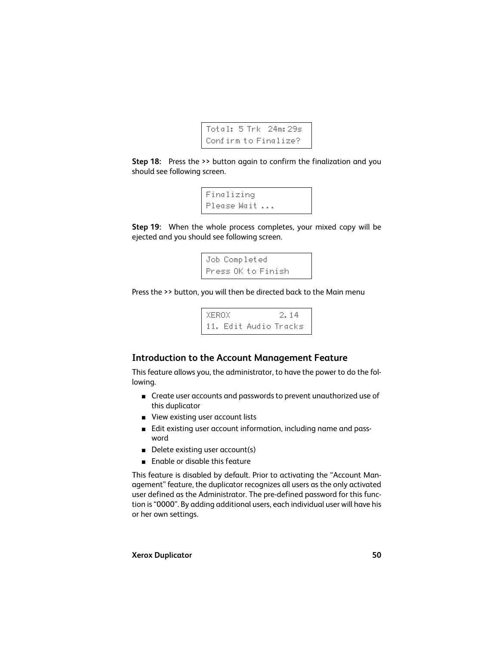

**Step 18:** Press the >> button again to confirm the finalization and you should see following screen.

```
Finalizing
Please Wait ...
```
**Step 19:** When the whole process completes, your mixed copy will be ejected and you should see following screen.

```
Job Completed
Press OK to Finish
```
Press the >> button, you will then be directed back to the Main menu

XEROX 2.14 11. Edit Audio Tracks

## <span id="page-49-0"></span>**Introduction to the Account Management Feature**

This feature allows you, the administrator, to have the power to do the following.

- Create user accounts and passwords to prevent unauthorized use of this duplicator
- View existing user account lists
- Edit existing user account information, including name and password
- Delete existing user account(s)
- Fnable or disable this feature

This feature is disabled by default. Prior to activating the "Account Management" feature, the duplicator recognizes all users as the only activated user defined as the Administrator. The pre-defined password for this function is "0000". By adding additional users, each individual user will have his or her own settings.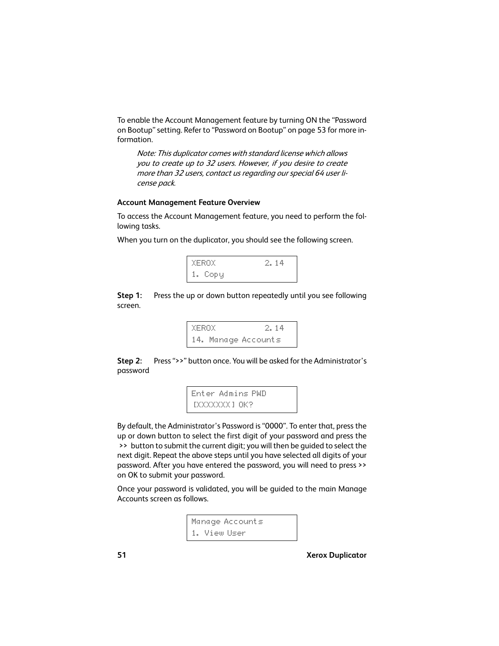To enable the Account Management feature by turning ON the "Password on Bootup" setting. Refer to "Password on Bootup" on page 53 for more information.

Note: This duplicator comes with standard license which allows you to create up to 32 users. However, if you desire to create more than 32 users, contact us regarding our special 64 user license pack.

#### **Account Management Feature Overview**

To access the Account Management feature, you need to perform the following tasks.

When you turn on the duplicator, you should see the following screen.



**Step 1:** Press the up or down button repeatedly until you see following screen.



**Step 2:** Press ">>" button once. You will be asked for the Administrator's password

```
Enter Admins PWD
[XXXXXXX] [0K?]
```
By default, the Administrator's Password is "0000". To enter that, press the up or down button to select the first digit of your password and press the >> button to submit the current digit; you will then be guided to select the next digit. Repeat the above steps until you have selected all digits of your password. After you have entered the password, you will need to press >> on OK to submit your password.

Once your password is validated, you will be guided to the main Manage Accounts screen as follows.

```
Manage Accounts
1. View User
```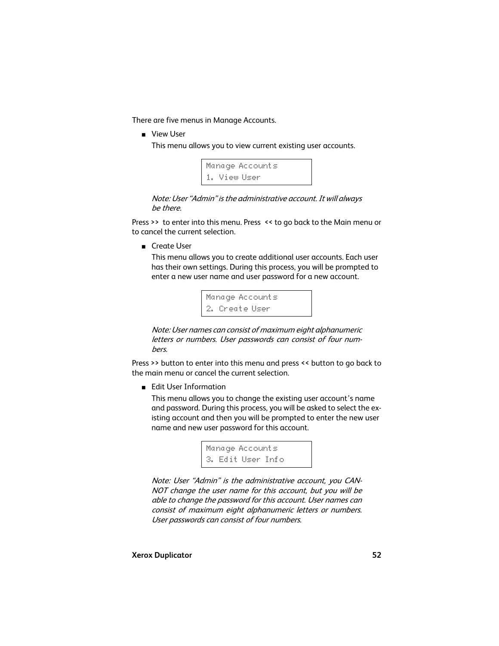There are five menus in Manage Accounts.

■ View User

This menu allows you to view current existing user accounts.

```
Manage Accounts
1. View User
```
Note: User "Admin" is the administrative account. It will always be there.

Press >> to enter into this menu. Press << to go back to the Main menu or to cancel the current selection.

■ Create User

This menu allows you to create additional user accounts. Each user has their own settings. During this process, you will be prompted to enter a new user name and user password for a new account.

```
Manage Accounts
2. Create User
```
Note: User names can consist of maximum eight alphanumeric letters or numbers. User passwords can consist of four numbers.

Press >> button to enter into this menu and press << button to go back to the main menu or cancel the current selection.

■ Edit User Information

This menu allows you to change the existing user account's name and password. During this process, you will be asked to select the existing account and then you will be prompted to enter the new user name and new user password for this account.

```
Manage Accounts
3. Edit User Info
```
Note: User "Admin" is the administrative account, you CAN-NOT change the user name for this account, but you will be able to change the password for this account. User names can consist of maximum eight alphanumeric letters or numbers. User passwords can consist of four numbers.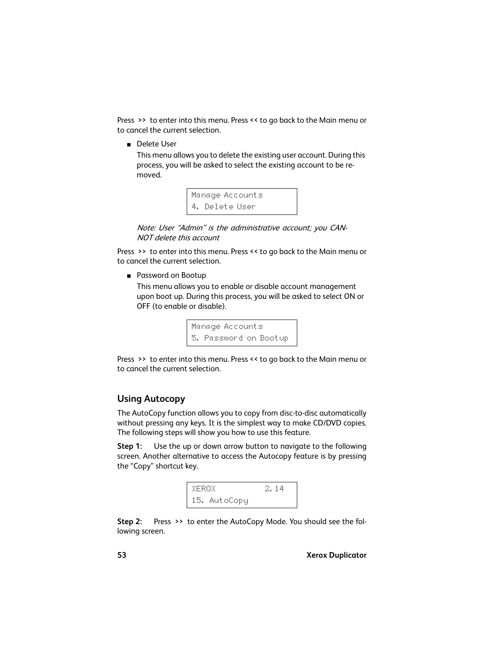Press >> to enter into this menu. Press << to go back to the Main menu or to cancel the current selection.

■ Delete User

This menu allows you to delete the existing user account. During this process, you will be asked to select the existing account to be removed.

```
Manage Accounts
4. Delete User
```
Note: User "Admin" is the administrative account; you CAN-NOT delete this account

Press >> to enter into this menu. Press << to go back to the Main menu or to cancel the current selection.

■ Password on Bootup

This menu allows you to enable or disable account management upon boot up. During this process, you will be asked to select ON or OFF (to enable or disable).

> Manage Accounts 5. Password on Bootup

Press >> to enter into this menu. Press << to go back to the Main menu or to cancel the current selection.

# <span id="page-52-0"></span>**Using Autocopy**

The AutoCopy function allows you to copy from disc-to-disc automatically without pressing any keys. It is the simplest way to make CD/DVD copies. The following steps will show you how to use this feature.

**Step 1:** Use the up or down arrow button to navigate to the following screen. Another alternative to access the Autocopy feature is by pressing the "Copy" shortcut key.



**Step 2:** Press >> to enter the AutoCopy Mode. You should see the following screen.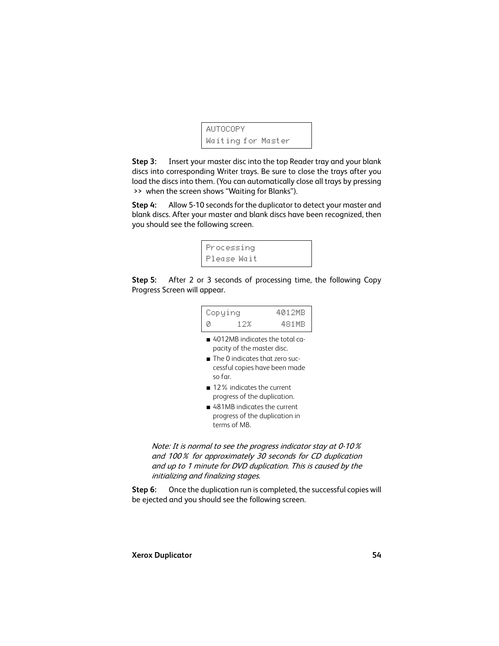```
AUTOCOPY
Waiting for Master
```
**Step 3:** Insert your master disc into the top Reader tray and your blank discs into corresponding Writer trays. Be sure to close the trays after you load the discs into them. (You can automatically close all trays by pressing >> when the screen shows "Waiting for Blanks").

**Step 4:** Allow 5-10 seconds for the duplicator to detect your master and blank discs. After your master and blank discs have been recognized, then you should see the following screen.

```
Processing
Please Wait
```
**Step 5:** After 2 or 3 seconds of processing time, the following Copy Progress Screen will appear.

| Copying |     | 4012MB |
|---------|-----|--------|
| Ø       | 12% | 481MB  |

- 4012MB indicates the total capacity of the master disc.
- The 0 indicates that zero successful copies have been made so far.
- 12% indicates the current progress of the duplication.
- 481MB indicates the current progress of the duplication in terms of MB.

Note: It is normal to see the progress indicator stay at 0-10% and 100% for approximately 30 seconds for CD duplication and up to 1 minute for DVD duplication. This is caused by the initializing and finalizing stages.

**Step 6:** Once the duplication run is completed, the successful copies will be ejected and you should see the following screen.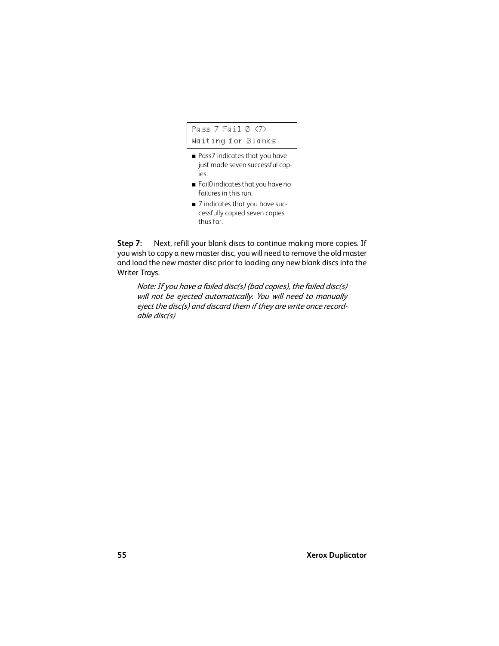Pass 7 Fail 0 (7) Waiting for Blanks

- Pass7 indicates that you have just made seven successful copies.
- Fail0 indicates that you have no failures in this run.
- 7 indicates that you have successfully copied seven copies thus far.

**Step 7:** Next, refill your blank discs to continue making more copies. If you wish to copy a new master disc, you will need to remove the old master and load the new master disc prior to loading any new blank discs into the Writer Trays.

Note: If you have a failed disc(s) (bad copies), the failed disc(s) will not be ejected automatically. You will need to manually eject the disc(s) and discard them if they are write once recordable disc(s)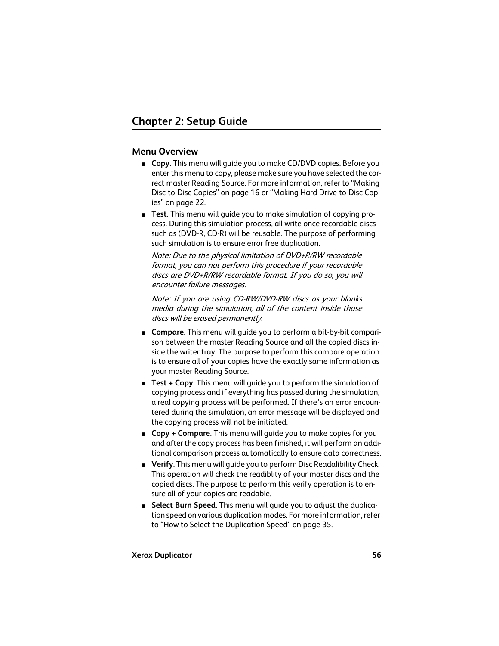#### **Menu Overview**

- **Copy**. This menu will quide you to make CD/DVD copies. Before you enter this menu to copy, please make sure you have selected the correct master Reading Source. For more information, refer to ["Making](#page-15-0)  [Disc-to-Disc Copies" on page 16](#page-15-0) or ["Making Hard Drive-to-Disc Cop](#page-21-0)[ies" on page 22.](#page-21-0)
- **Test**. This menu will quide you to make simulation of copying process. During this simulation process, all write once recordable discs such as (DVD-R, CD-R) will be reusable. The purpose of performing such simulation is to ensure error free duplication.

Note: Due to the physical limitation of DVD+R/RW recordable format, you can not perform this procedure if your recordable discs are DVD+R/RW recordable format. If you do so, you will encounter failure messages.

Note: If you are using CD-RW/DVD-RW discs as your blanks media during the simulation, all of the content inside those discs will be erased permanently.

- **Compare**. This menu will guide you to perform a bit-by-bit comparison between the master Reading Source and all the copied discs inside the writer tray. The purpose to perform this compare operation is to ensure all of your copies have the exactly same information as your master Reading Source.
- **Test + Copy**. This menu will guide you to perform the simulation of copying process and if everything has passed during the simulation, a real copying process will be performed. If there's an error encountered during the simulation, an error message will be displayed and the copying process will not be initiated.
- **Copy + Compare**. This menu will guide you to make copies for you and after the copy process has been finished, it will perform an additional comparison process automatically to ensure data correctness.
- **Verify**. This menu will guide you to perform Disc Readalibility Check. This operation will check the readiblity of your master discs and the copied discs. The purpose to perform this verify operation is to ensure all of your copies are readable.
- **Select Burn Speed**. This menu will quide you to adjust the duplication speed on various duplication modes. For more information, refer to ["How to Select the Duplication Speed" on page 35](#page-34-0).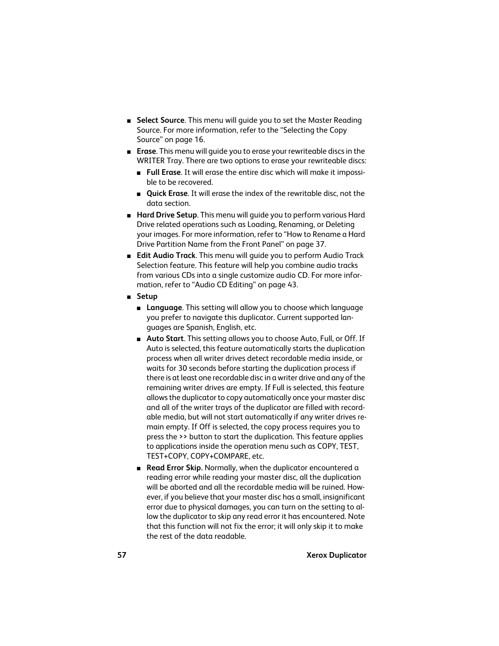- **Select Source**. This menu will quide you to set the Master Reading Source. For more information, refer to the ["Selecting the Copy](#page-15-1)  [Source" on page 16.](#page-15-1)
- **Erase**. This menu will quide you to erase your rewriteable discs in the WRITER Tray. There are two options to erase your rewriteable discs:
	- **Full Erase**. It will erase the entire disc which will make it impossible to be recovered.
	- **Quick Erase**. It will erase the index of the rewritable disc, not the data section.
- **Hard Drive Setup**. This menu will guide you to perform various Hard Drive related operations such as Loading, Renaming, or Deleting your images. For more information, refer to ["How to Rename a Hard](#page-36-0)  [Drive Partition Name from the Front Panel" on page 37](#page-36-0).
- **Edit Audio Track**. This menu will quide you to perform Audio Track Selection feature. This feature will help you combine audio tracks from various CDs into a single customize audio CD. For more information, refer to ["Audio CD Editing" on page 43.](#page-42-0)
- **Setup**
	- **Language**. This setting will allow you to choose which language you prefer to navigate this duplicator. Current supported languages are Spanish, English, etc.
	- **Auto Start**. This setting allows you to choose Auto, Full, or Off. If Auto is selected, this feature automatically starts the duplication process when all writer drives detect recordable media inside, or waits for 30 seconds before starting the duplication process if there is at least one recordable disc in a writer drive and any of the remaining writer drives are empty. If Full is selected, this feature allows the duplicator to copy automatically once your master disc and all of the writer trays of the duplicator are filled with recordable media, but will not start automatically if any writer drives remain empty. If Off is selected, the copy process requires you to press the >> button to start the duplication. This feature applies to applications inside the operation menu such as COPY, TEST, TEST+COPY, COPY+COMPARE, etc.
	- **Read Error Skip.** Normally, when the duplicator encountered a reading error while reading your master disc, all the duplication will be aborted and all the recordable media will be ruined. However, if you believe that your master disc has a small, insignificant error due to physical damages, you can turn on the setting to allow the duplicator to skip any read error it has encountered. Note that this function will not fix the error; it will only skip it to make the rest of the data readable.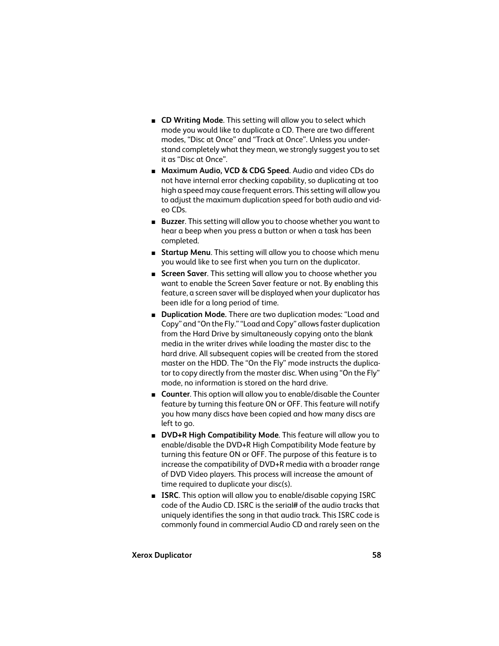- **CD Writing Mode**. This setting will allow you to select which mode you would like to duplicate a CD. There are two different modes, "Disc at Once" and "Track at Once". Unless you understand completely what they mean, we strongly suggest you to set it as "Disc at Once".
- **Maximum Audio, VCD & CDG Speed**. Audio and video CDs do not have internal error checking capability, so duplicating at too high a speed may cause frequent errors. This setting will allow you to adjust the maximum duplication speed for both audio and video CDs.
- **Buzzer**. This setting will allow you to choose whether you want to hear a beep when you press a button or when a task has been completed.
- **Startup Menu**. This setting will allow you to choose which menu you would like to see first when you turn on the duplicator.
- **Screen Saver**. This setting will allow you to choose whether you want to enable the Screen Saver feature or not. By enabling this feature, a screen saver will be displayed when your duplicator has been idle for a long period of time.
- **Duplication Mode.** There are two duplication modes: "Load and Copy" and "On the Fly." "Load and Copy" allows faster duplication from the Hard Drive by simultaneously copying onto the blank media in the writer drives while loading the master disc to the hard drive. All subsequent copies will be created from the stored master on the HDD. The "On the Fly" mode instructs the duplicator to copy directly from the master disc. When using "On the Fly" mode, no information is stored on the hard drive.
- **Counter**. This option will allow you to enable/disable the Counter feature by turning this feature ON or OFF. This feature will notify you how many discs have been copied and how many discs are left to go.
- **DVD+R High Compatibility Mode**. This feature will allow you to enable/disable the DVD+R High Compatibility Mode feature by turning this feature ON or OFF. The purpose of this feature is to increase the compatibility of DVD+R media with a broader range of DVD Video players. This process will increase the amount of time required to duplicate your disc(s).
- **ISRC**. This option will allow you to enable/disable copying ISRC code of the Audio CD. ISRC is the serial# of the audio tracks that uniquely identifies the song in that audio track. This ISRC code is commonly found in commercial Audio CD and rarely seen on the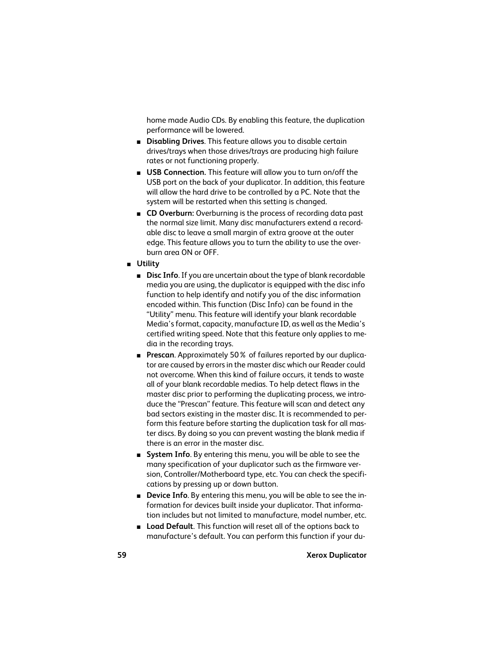home made Audio CDs. By enabling this feature, the duplication performance will be lowered.

- **Disabling Drives**. This feature allows you to disable certain drives/trays when those drives/trays are producing high failure rates or not functioning properly.
- **USB Connection.** This feature will allow you to turn on/off the USB port on the back of your duplicator. In addition, this feature will allow the hard drive to be controlled by a PC. Note that the system will be restarted when this setting is changed.
- **CD Overburn:** Overburning is the process of recording data past the normal size limit. Many disc manufacturers extend a recordable disc to leave a small margin of extra groove at the outer edge. This feature allows you to turn the ability to use the overburn area ON or OFF.

■ **Utility**

- **Disc Info**. If you are uncertain about the type of blank recordable media you are using, the duplicator is equipped with the disc info function to help identify and notify you of the disc information encoded within. This function (Disc Info) can be found in the "Utility" menu. This feature will identify your blank recordable Media's format, capacity, manufacture ID, as well as the Media's certified writing speed. Note that this feature only applies to media in the recording trays.
- **Prescan**. Approximately 50% of failures reported by our duplicator are caused by errors in the master disc which our Reader could not overcome. When this kind of failure occurs, it tends to waste all of your blank recordable medias. To help detect flaws in the master disc prior to performing the duplicating process, we introduce the "Prescan" feature. This feature will scan and detect any bad sectors existing in the master disc. It is recommended to perform this feature before starting the duplication task for all master discs. By doing so you can prevent wasting the blank media if there is an error in the master disc.
- **System Info**. By entering this menu, you will be able to see the many specification of your duplicator such as the firmware version, Controller/Motherboard type, etc. You can check the specifications by pressing up or down button.
- **Device Info**. By entering this menu, you will be able to see the information for devices built inside your duplicator. That information includes but not limited to manufacture, model number, etc.
- **Load Default**. This function will reset all of the options back to manufacture's default. You can perform this function if your du-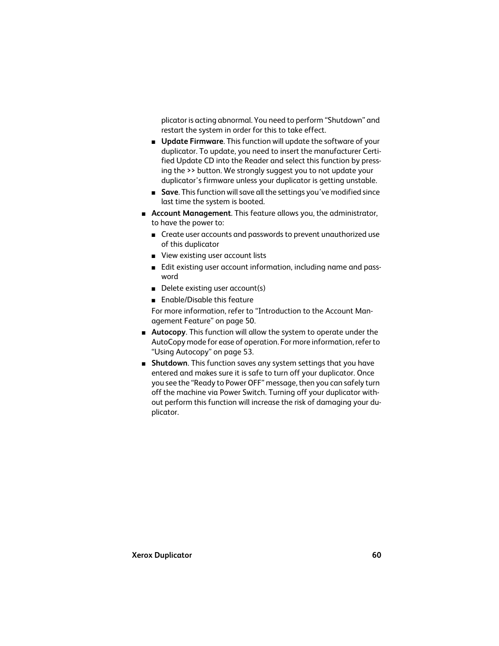plicator is acting abnormal. You need to perform "Shutdown" and restart the system in order for this to take effect.

- **Update Firmware**. This function will update the software of your duplicator. To update, you need to insert the manufacturer Certified Update CD into the Reader and select this function by pressing the >> button. We strongly suggest you to not update your duplicator's firmware unless your duplicator is getting unstable.
- **Save**. This function will save all the settings you've modified since last time the system is booted.
- **Account Management**. This feature allows you, the administrator, to have the power to:
	- Create user accounts and passwords to prevent unauthorized use of this duplicator
	- View existing user account lists
	- Edit existing user account information, including name and password
	- Delete existing user account(s)
	- Enable/Disable this feature

For more information, refer to ["Introduction to the Account Man](#page-49-0)[agement Feature" on page 50.](#page-49-0)

- **Autocopy**. This function will allow the system to operate under the AutoCopy mode for ease of operation. For more information, refer to ["Using Autocopy" on page 53](#page-52-0).
- **Shutdown**. This function saves any system settings that you have entered and makes sure it is safe to turn off your duplicator. Once you see the "Ready to Power OFF" message, then you can safely turn off the machine via Power Switch. Turning off your duplicator without perform this function will increase the risk of damaging your duplicator.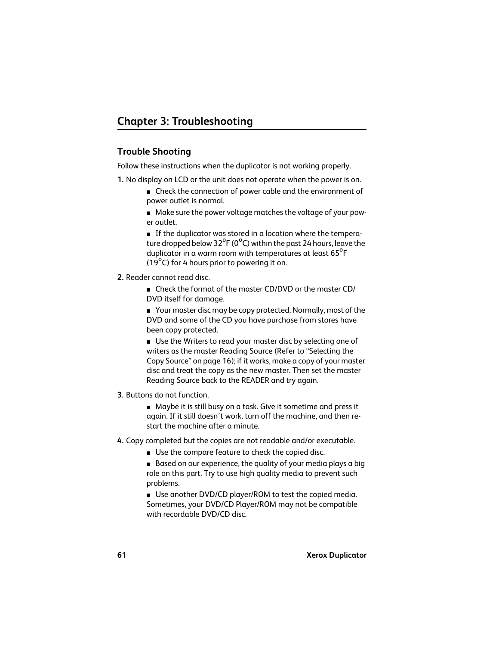# **Trouble Shooting**

Follow these instructions when the duplicator is not working properly.

- **1.** No display on LCD or the unit does not operate when the power is on.
	- Check the connection of power cable and the environment of power outlet is normal.
	- Make sure the power voltage matches the voltage of your power outlet.

■ If the duplicator was stored in a location where the temperature dropped below  $32^{\circ}F(0^{\circ}C)$  within the past 24 hours, leave the duplicator in a warm room with temperatures at least 65<sup>°</sup>F (19 $^{\circ}$ C) for 4 hours prior to powering it on.

- **2.** Reader cannot read disc.
	- Check the format of the master CD/DVD or the master CD/ DVD itself for damage.

■ Your master disc may be copy protected. Normally, most of the DVD and some of the CD you have purchase from stores have been copy protected.

■ Use the Writers to read your master disc by selecting one of writers as the master Reading Source (Refer to ["Selecting the](#page-15-1)  [Copy Source" on page 16\)](#page-15-1); if it works, make a copy of your master disc and treat the copy as the new master. Then set the master Reading Source back to the READER and try again.

- **3.** Buttons do not function.
	- Maybe it is still busy on a task. Give it sometime and press it again. If it still doesn't work, turn off the machine, and then restart the machine after a minute.
- **4.** Copy completed but the copies are not readable and/or executable.
	- Use the compare feature to check the copied disc.

■ Based on our experience, the quality of your media plays a big role on this part. Try to use high quality media to prevent such problems.

■ Use another DVD/CD player/ROM to test the copied media. Sometimes, your DVD/CD Player/ROM may not be compatible with recordable DVD/CD disc.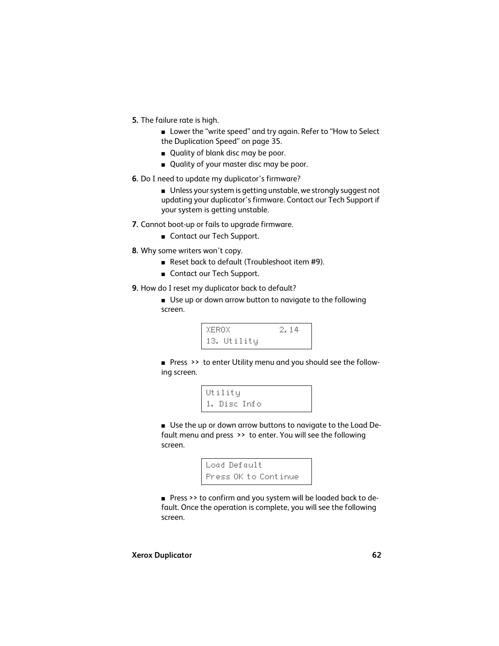- **5.** The failure rate is high.
	- Lower the "write speed" and try again. Refer to "How to Select [the Duplication Speed" on page 35](#page-34-0).
	- Quality of blank disc may be poor.
	- Quality of your master disc may be poor.
- **6.** Do I need to update my duplicator's firmware?
	- Unless your system is getting unstable, we strongly suggest not updating your duplicator's firmware. Contact our Tech Support if your system is getting unstable.
- **7.** Cannot boot-up or fails to upgrade firmware.
	- Contact our Tech Support.
- **8.** Why some writers won't copy.
	- Reset back to default (Troubleshoot item #9).
	- Contact our Tech Support.
- **9.** How do I reset my duplicator back to default?
	- Use up or down arrow button to navigate to the following screen.



■ Press >> to enter Utility menu and you should see the following screen.

```
Utility
1. Disc Info
```
■ Use the up or down arrow buttons to navigate to the Load Default menu and press >> to enter. You will see the following screen.

```
Load Default
Press OK to Continue
```
■ Press >> to confirm and you system will be loaded back to default. Once the operation is complete, you will see the following screen.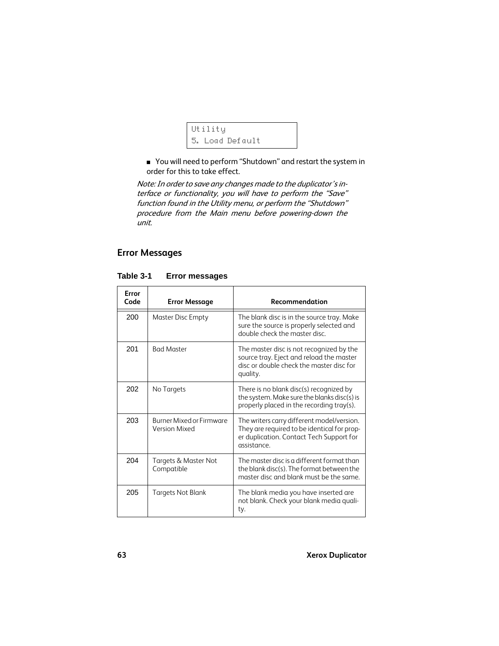```
Utility
5. Load Default
```
■ You will need to perform "Shutdown" and restart the system in order for this to take effect.

Note: In order to save any changes made to the duplicator's interface or functionality, you will have to perform the "Save" function found in the Utility menu, or perform the "Shutdown" procedure from the Main menu before powering-down the unit.

## **Error Messages**

| Error<br>Code | <b>Error Message</b>                                    | Recommendation                                                                                                                                       |
|---------------|---------------------------------------------------------|------------------------------------------------------------------------------------------------------------------------------------------------------|
| 200           | Master Disc Empty                                       | The blank disc is in the source tray. Make<br>sure the source is properly selected and<br>double check the master disc.                              |
| 201           | <b>Bad Master</b>                                       | The master disc is not recognized by the<br>source tray. Eject and reload the master<br>disc or double check the master disc for<br>quality.         |
| 202           | No Targets                                              | There is no blank disc(s) recognized by<br>the system. Make sure the blanks disc(s) is<br>properly placed in the recording tray(s).                  |
| 203           | <b>Burner Mixed or Firmware</b><br><b>Version Mixed</b> | The writers carry different model/version.<br>They are required to be identical for prop-<br>er duplication. Contact Tech Support for<br>assistance. |
| 204           | Targets & Master Not<br>Compatible                      | The master disc is a different format than<br>the blank disc(s). The format between the<br>master disc and blank must be the same.                   |
| 205           | Targets Not Blank                                       | The blank media you have inserted are<br>not blank. Check your blank media quali-<br>ty.                                                             |

**Table 3-1 Error messages**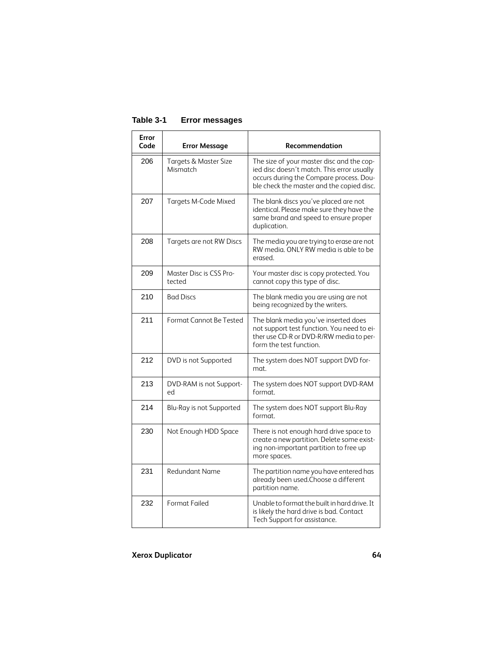| Error<br>Code | <b>Error Message</b>              | Recommendation                                                                                                                                                                  |
|---------------|-----------------------------------|---------------------------------------------------------------------------------------------------------------------------------------------------------------------------------|
| 206           | Targets & Master Size<br>Mismatch | The size of your master disc and the cop-<br>ied disc doesn't match. This error usually<br>occurs during the Compare process. Dou-<br>ble check the master and the copied disc. |
| 207           | Targets M-Code Mixed              | The blank discs you've placed are not<br>identical. Please make sure they have the<br>same brand and speed to ensure proper<br>duplication.                                     |
| 208           | Targets are not RW Discs          | The media you are trying to erase are not<br>RW media. ONLY RW media is able to be<br>erased.                                                                                   |
| 209           | Master Disc is CSS Pro-<br>tected | Your master disc is copy protected. You<br>cannot copy this type of disc.                                                                                                       |
| 210           | <b>Bad Discs</b>                  | The blank media you are using are not<br>being recognized by the writers.                                                                                                       |
| 211           | Format Cannot Be Tested           | The blank media you've inserted does<br>not support test function. You need to ei-<br>ther use CD-R or DVD-R/RW media to per-<br>form the test function.                        |
| 212           | DVD is not Supported              | The system does NOT support DVD for-<br>mat.                                                                                                                                    |
| 213           | DVD-RAM is not Support-<br>ed     | The system does NOT support DVD-RAM<br>format.                                                                                                                                  |
| 214           | Blu-Ray is not Supported          | The system does NOT support Blu-Ray<br>format.                                                                                                                                  |
| 230           | Not Enough HDD Space              | There is not enough hard drive space to<br>create a new partition. Delete some exist-<br>ing non-important partition to free up<br>more spaces.                                 |
| 231           | Redundant Name                    | The partition name you have entered has<br>already been used. Choose a different<br>partition name.                                                                             |
| 232           | Format Failed                     | Unable to format the built in hard drive. It<br>is likely the hard drive is bad. Contact<br>Tech Support for assistance.                                                        |

## **Table 3-1 Error messages**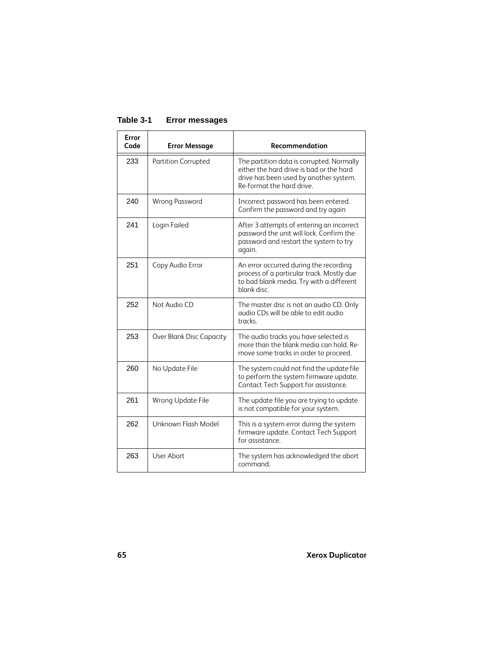#### **Table 3-1 Error messages**

| Error<br>Code | <b>Error Message</b>     | Recommendation                                                                                                                                               |
|---------------|--------------------------|--------------------------------------------------------------------------------------------------------------------------------------------------------------|
| 233           | Partition Corrupted      | The partition data is corrupted. Normally<br>either the hard drive is bad or the hard<br>drive has been used by another system.<br>Re-format the hard drive. |
| 240           | <b>Wrong Password</b>    | Incorrect password has been entered.<br>Confirm the password and try again                                                                                   |
| 241           | Login Failed             | After 3 attempts of entering an incorrect<br>password the unit will lock. Confirm the<br>password and restart the system to try<br>again.                    |
| 251           | Copy Audio Error         | An error occurred during the recording<br>process of a particular track. Mostly due<br>to bad blank media. Try with a different<br>blank disc.               |
| 252           | Not Audio CD             | The master disc is not an audio CD. Only<br>qudio CDs will be able to edit qudio<br>tracks.                                                                  |
| 253           | Over Blank Disc Capacity | The audio tracks you have selected is<br>more than the blank media can hold. Re-<br>move some tracks in order to proceed.                                    |
| 260           | No Update File           | The system could not find the update file<br>to perform the system firmware update.<br>Contact Tech Support for assistance.                                  |
| 261           | Wrong Update File        | The update file you are trying to update<br>is not compatible for your system.                                                                               |
| 262           | Unknown Flash Model      | This is a system error during the system<br>firmware update. Contact Tech Support<br>for assistance.                                                         |
| 263           | User Abort               | The system has acknowledged the abort<br>command                                                                                                             |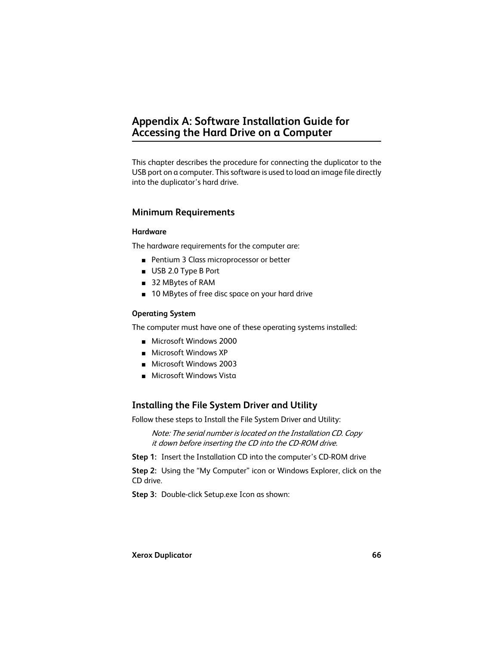# **Appendix A: Software Installation Guide for Accessing the Hard Drive on a Computer**

This chapter describes the procedure for connecting the duplicator to the USB port on a computer. This software is used to load an image file directly into the duplicator's hard drive.

## **Minimum Requirements**

#### **Hardware**

The hardware requirements for the computer are:

- Pentium 3 Class microprocessor or better
- USB 2.0 Type B Port
- 32 MBytes of RAM
- 10 MBytes of free disc space on your hard drive

#### **Operating System**

The computer must have one of these operating systems installed:

- Microsoft Windows 2000
- Microsoft Windows XP
- Microsoft Windows 2003
- Microsoft Windows Vista

## **Installing the File System Driver and Utility**

Follow these steps to Install the File System Driver and Utility:

Note: The serial number is located on the Installation CD. Copy it down before inserting the CD into the CD-ROM drive.

**Step 1:** Insert the Installation CD into the computer's CD-ROM drive

**Step 2:** Using the "My Computer" icon or Windows Explorer, click on the CD drive.

**Step 3:** Double-click Setup.exe Icon as shown: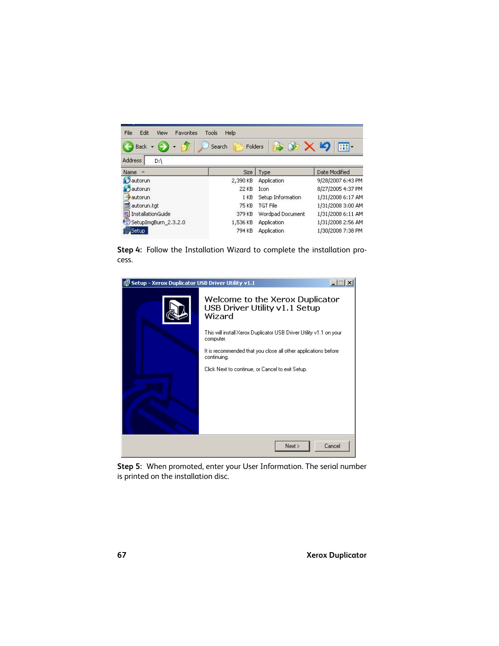| File<br>Edit<br>Favorites<br>View | Tools<br>Help     |                    |                   |
|-----------------------------------|-------------------|--------------------|-------------------|
| <b>Back</b>                       | Search<br>Folders |                    | m-                |
| <b>Address</b><br>D:\             |                   |                    |                   |
| Name                              | Size              | Type               | Date Modified     |
| <b>B</b> autorun                  | 2,390 KB          | <b>Application</b> | 9/28/2007 6:43 PM |
| <b>S</b> autorun                  | 22 KB             | <b>Icon</b>        | 8/27/2005 4:37 PM |
| autorun                           | 1 KB              | Setup Information  | 1/31/2008 6:17 AM |
| autorun.tgt<br>im                 | 75 KB             | <b>TGT File</b>    | 1/31/2008 3:00 AM |
| ij<br>InstallationGuide           | 379 KB            | Wordpad Document   | 1/31/2008 6:11 AM |
| SetupImgBurn 2.3.2.0              | 1,536 KB          | Application        | 1/31/2008 2:56 AM |
| iSetup.                           | 794 KB            | <b>Application</b> | 1/30/2008 7:38 PM |

**Step 4:** Follow the Installation Wizard to complete the installation process.



**Step 5:** When promoted, enter your User Information. The serial number is printed on the installation disc.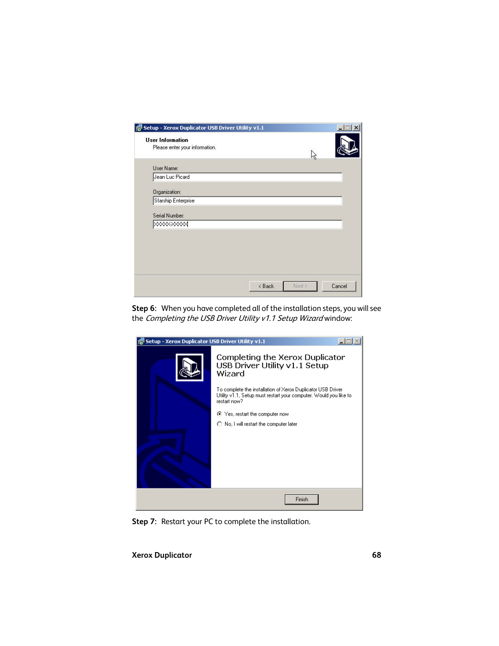| Setup - Xerox Duplicator USB Driver Utility v1.1          |        |        | $ \Box$ $\times$ |
|-----------------------------------------------------------|--------|--------|------------------|
| <b>User Information</b><br>Please enter your information. |        | Νý     |                  |
| User Name:                                                |        |        |                  |
| Jean Luc Picard                                           |        |        |                  |
| Organization:                                             |        |        |                  |
| Starship Enterprise                                       |        |        |                  |
| Serial Number:                                            |        |        |                  |
| <b>XXXXXXXX</b>                                           |        |        |                  |
|                                                           |        |        |                  |
|                                                           |        |        |                  |
|                                                           |        |        |                  |
|                                                           |        |        |                  |
|                                                           |        |        |                  |
|                                                           | < Back | Next > | Cancel           |

**Step 6:** When you have completed all of the installation steps, you will see the Completing the USB Driver Utility v1.1 Setup Wizard window:



**Step 7:** Restart your PC to complete the installation.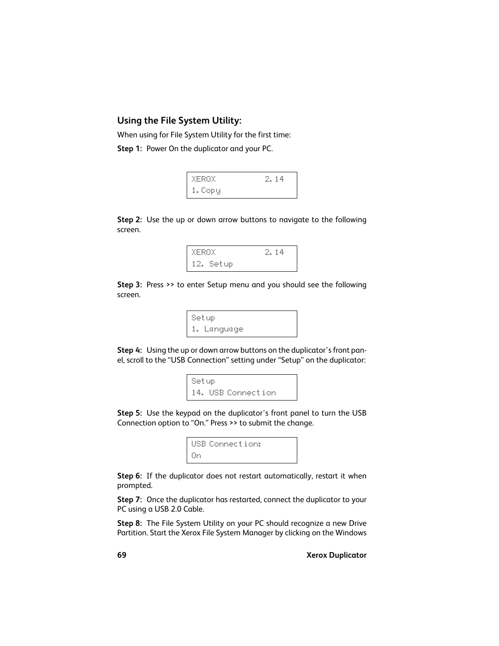# **Using the File System Utility:**

When using for File System Utility for the first time:

**Step 1:** Power On the duplicator and your PC.

| XEROX   | 2.14 |
|---------|------|
| 1. Copy |      |

**Step 2:** Use the up or down arrow buttons to navigate to the following screen.



**Step 3:** Press >> to enter Setup menu and you should see the following screen.



**Step 4:** Using the up or down arrow buttons on the duplicator's front panel, scroll to the "USB Connection" setting under "Setup" on the duplicator:

Setup 14. USB Connection

**Step 5:** Use the keypad on the duplicator's front panel to turn the USB Connection option to "On." Press >> to submit the change.



**Step 6:** If the duplicator does not restart automatically, restart it when prompted.

**Step 7:** Once the duplicator has restarted, connect the duplicator to your PC using a USB 2.0 Cable.

**Step 8:** The File System Utility on your PC should recognize a new Drive Partition. Start the Xerox File System Manager by clicking on the Windows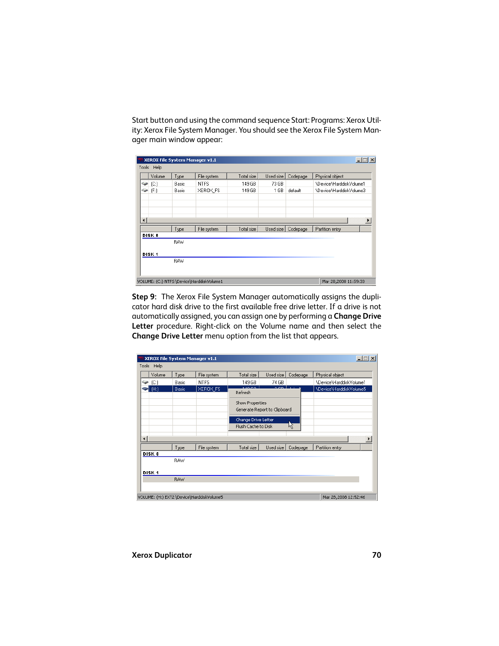Start button and using the command sequence Start: Programs: Xerox Utility: Xerox File System Manager. You should see the Xerox File System Manager main window appear:

|                      |                   | XEROX File System Manager v1.1 |                                           |            |                 |          | $-1$ $-1$ $\times$      |
|----------------------|-------------------|--------------------------------|-------------------------------------------|------------|-----------------|----------|-------------------------|
| Tools                | Help              |                                |                                           |            |                 |          |                         |
|                      | Volume            | Type                           | File system                               | Total size | Used size       | Codepage | Physical object         |
| خينه                 | (C)               | Basic                          | <b>NTFS</b>                               | 149 GB     | 73 GB           |          | \Device\HarddiskVolume1 |
| خوته                 | (F)               | Basic                          | XEROX FS                                  | 149 GB     | 1 <sub>GB</sub> | default  | \Device\HarddiskVolume3 |
|                      |                   |                                |                                           |            |                 |          |                         |
|                      |                   |                                |                                           |            |                 |          |                         |
| $\blacktriangleleft$ |                   |                                |                                           |            |                 |          | $\blacktriangleright$   |
|                      |                   | Type                           | File system                               | Total size | Used size       | Codepage | Partition entry         |
|                      | <b>DISK 0</b>     |                                |                                           |            |                 |          |                         |
|                      |                   | <b>RAW</b>                     |                                           |            |                 |          |                         |
|                      | DISK <sub>1</sub> |                                |                                           |            |                 |          |                         |
|                      |                   | <b>RAW</b>                     |                                           |            |                 |          |                         |
|                      |                   |                                |                                           |            |                 |          |                         |
|                      |                   |                                | VOLUME: (C:) NTFS \Device\HarddiskVolume1 |            |                 |          | Mar 28,2008 11:59:33    |

**Step 9:** The Xerox File System Manager automatically assigns the duplicator hard disk drive to the first available free drive letter. If a drive is not automatically assigned, you can assign one by performing a **Change Drive Letter** procedure. Right-click on the Volume name and then select the **Change Drive Letter** menu option from the list that appears.

|                        |                   |              | XEROX File System Manager v1.1            |                                            |                              |                 | $ \Box$ $\times$        |
|------------------------|-------------------|--------------|-------------------------------------------|--------------------------------------------|------------------------------|-----------------|-------------------------|
| Tools                  | Help              |              |                                           |                                            |                              |                 |                         |
|                        | Volume            | Type         | File system                               | Total size                                 | Used size                    | Codepage        | Physical object         |
| <b>Gip</b>             | (C)               | Basic        | <b>NTFS</b>                               | 149 GB                                     | 74 GB                        |                 | \Device\HarddiskVolume1 |
|                        | (H)               | <b>Basic</b> | XEROX_FS                                  | <b>ALAM COM</b><br>Refresh                 | o on                         | <b>ALCOHOL:</b> | \Device\HarddiskVolume5 |
|                        |                   |              |                                           | Show Properties                            | Generate Report to Clipboard |                 |                         |
|                        |                   |              |                                           | Change Drive Letter<br>Flush Cache to Disk |                              | 12              |                         |
| $\left  \cdot \right $ |                   |              |                                           |                                            |                              |                 |                         |
|                        |                   | Type         | File system                               | Total size                                 | Used size                    | Codepage        | Partition entry         |
|                        | DISK 0            | <b>RAW</b>   |                                           |                                            |                              |                 |                         |
|                        | DISK <sub>1</sub> |              |                                           |                                            |                              |                 |                         |
|                        |                   | <b>RAW</b>   |                                           |                                            |                              |                 |                         |
|                        |                   |              | VOLUME: (H:) EXT2 \Device\HarddiskVolume5 |                                            |                              |                 | Mar 28,2008 12:52:46    |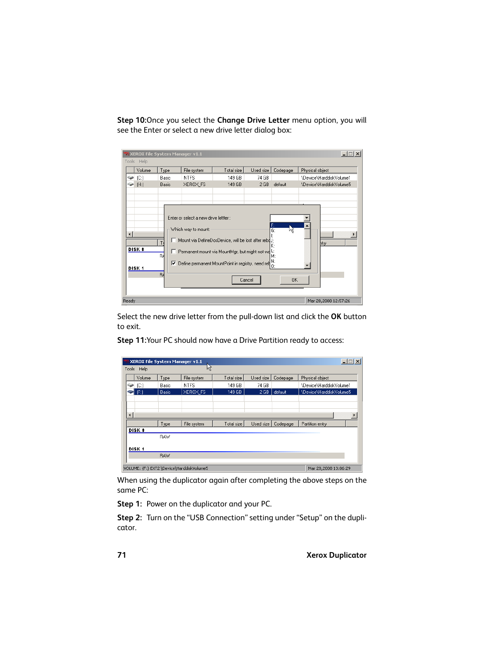**Step 10:**Once you select the **Change Drive Letter** menu option, you will see the Enter or select a new drive letter dialog box:

| Tools          | 쀇 XEROX File System Manager v1.1<br>Help |                    |                                                              |                                                                                                                                                                |           |                                              | $\Box$ $\Box$ $\times$  |
|----------------|------------------------------------------|--------------------|--------------------------------------------------------------|----------------------------------------------------------------------------------------------------------------------------------------------------------------|-----------|----------------------------------------------|-------------------------|
|                | Volume                                   | Type               | File system                                                  | Total size                                                                                                                                                     | Used size | Codepage                                     | Physical object         |
| <b>Cape</b>    | (C)                                      | Basic              | <b>NTFS</b>                                                  | 149 GB                                                                                                                                                         | 74 GB     |                                              | \Device\HarddiskVolume1 |
| خنث            | (H)                                      | Basic              | XEROX_FS                                                     | 149 GB                                                                                                                                                         | 2 GB      | default                                      | \Device\HarddiskVolume5 |
| $\overline{ }$ | <b>DISK 0</b><br>DISK <sub>1</sub>       | T<br>BÁ<br>☞<br>Bś | Enter or select a new drive lettter :<br>Which way to mount: | Mount via DefineDosDevice, will be lost after rebdJ;<br>Permanent mount via MountMgr, but might not wd L:<br>Define permanent MountPoint in registry, need ret | Cancel    | 鳳<br>Νž<br>K:<br>M:<br>N:<br>0:<br><b>OK</b> | htry                    |
| Ready          |                                          |                    |                                                              |                                                                                                                                                                |           |                                              | Mar 28,2008 12:57:26    |

Select the new drive letter from the pull-down list and click the **OK** button to exit.

**Step 11:**Your PC should now have a Drive Partition ready to access:

|                      |                   |            | XEROX File System Manager v1.1            |            |                 |          | $-1$ $-1$ $\times$      |
|----------------------|-------------------|------------|-------------------------------------------|------------|-----------------|----------|-------------------------|
| Tools                | Help              |            | ۲Ļ                                        |            |                 |          |                         |
|                      | Volume            | Type       | File system                               | Total size | Used size       | Codepage | Physical object         |
| <b>Call</b>          | $ C_i $           | Basic      | <b>NTFS</b>                               | 149 GB     | 74 GB           |          | \Device\HarddiskVolume1 |
|                      | (F)               | Basic      | <b>XEROX_FS</b>                           | 149 GB     | 2 <sub>GB</sub> | default  | \Device\HarddiskVolume5 |
|                      |                   |            |                                           |            |                 |          |                         |
|                      |                   |            |                                           |            |                 |          |                         |
| $\blacktriangleleft$ |                   |            |                                           |            |                 |          |                         |
|                      |                   | Type       | File system                               | Total size | Used size       | Codepage | Partition entry         |
|                      | DISK 0            |            |                                           |            |                 |          |                         |
|                      |                   | <b>RAW</b> |                                           |            |                 |          |                         |
|                      | DISK <sub>1</sub> |            |                                           |            |                 |          |                         |
|                      |                   | <b>BAW</b> |                                           |            |                 |          |                         |
|                      |                   |            |                                           |            |                 |          |                         |
|                      |                   |            | VOLUME: (F:) EXT2 \Device\HarddiskVolume5 |            |                 |          | Mar 28,2008 13:06:29    |

When using the duplicator again after completing the above steps on the same PC:

**Step 1:** Power on the duplicator and your PC.

**Step 2:** Turn on the "USB Connection" setting under "Setup" on the duplicator.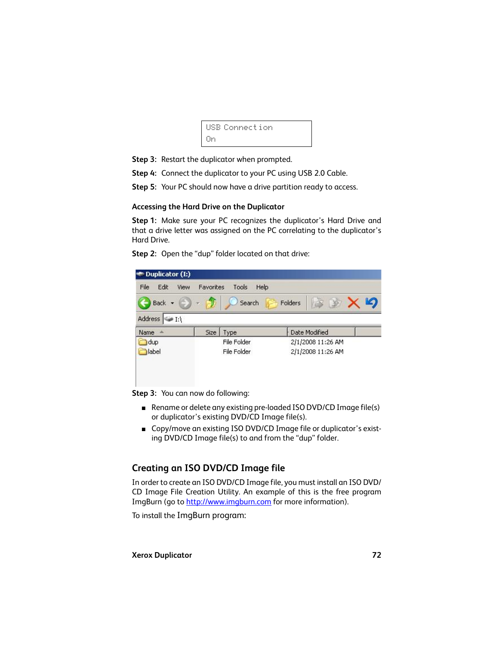```
USB Connection
On
```
- **Step 3:** Restart the duplicator when prompted.
- **Step 4:** Connect the duplicator to your PC using USB 2.0 Cable.
- **Step 5:** Your PC should now have a drive partition ready to access.

#### <span id="page-71-0"></span>**Accessing the Hard Drive on the Duplicator**

**Step 1:** Make sure your PC recognizes the duplicator's Hard Drive and that a drive letter was assigned on the PC correlating to the duplicator's Hard Drive.

| Edit<br>File<br>View    | Favorites | Tools<br>Help |                   |  |  |  |
|-------------------------|-----------|---------------|-------------------|--|--|--|
| Back +                  | $\pi$ .   | Search        | Folders.          |  |  |  |
| Address<br>$\mathbb{Z}$ |           |               |                   |  |  |  |
| Name                    | Size      | Type          | Date Modified     |  |  |  |
| dup                     |           | File Folder   | 2/1/2008 11:26 AM |  |  |  |
| dabel                   |           | File Folder   | 2/1/2008 11:26 AM |  |  |  |
|                         |           |               |                   |  |  |  |
|                         |           |               |                   |  |  |  |

**Step 2:** Open the "dup" folder located on that drive:

**Step 3:** You can now do following:

- Rename or delete any existing pre-loaded ISO DVD/CD Image file(s) or duplicator's existing DVD/CD Image file(s).
- Copy/move an existing ISO DVD/CD Image file or duplicator's existing DVD/CD Image file(s) to and from the "dup" folder.

# **Creating an ISO DVD/CD Image file**

[In order to create an ISO DVD/CD Image file, you must install an ISO DVD/](http://www.imgburn.com) CD Image File Creation Utility. An example of this is the free program [ImgBurn \(go to h](http://www.imgburn.com)ttp://www.imgburn.com for more information).

To install the ImgBurn program: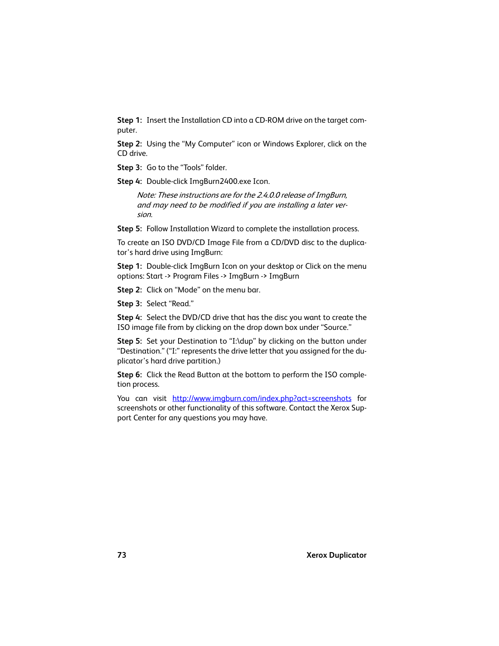**Step 1:** Insert the Installation CD into a CD-ROM drive on the target computer.

**Step 2:** Using the "My Computer" icon or Windows Explorer, click on the CD drive.

**Step 3:** Go to the "Tools" folder.

**Step 4:** Double-click ImgBurn2400.exe Icon.

Note: These instructions are for the 2.4.0.0 release of ImgBurn, and may need to be modified if you are installing a later version.

**Step 5:** Follow Installation Wizard to complete the installation process.

To create an ISO DVD/CD Image File from a CD/DVD disc to the duplicator's hard drive using ImgBurn:

**Step 1:** Double-click ImgBurn Icon on your desktop or Click on the menu options: Start -> Program Files -> ImgBurn -> ImgBurn

**Step 2:** Click on "Mode" on the menu bar.

**Step 3:** Select "Read."

**Step 4:** Select the DVD/CD drive that has the disc you want to create the ISO image file from by clicking on the drop down box under "Source."

**Step 5:** Set your Destination to "I:\dup" by clicking on the button under "Destination." ("I:" represents the drive letter that you assigned for the duplicator's hard drive partition.)

**Step 6:** Click the Read Button at the bottom to perform the ISO completion process.

You can visit <http://www.imgburn.com/index.php?act=screenshots>for screenshots or other functionality of this software. Contact the Xerox Support Center for any questions you may have.